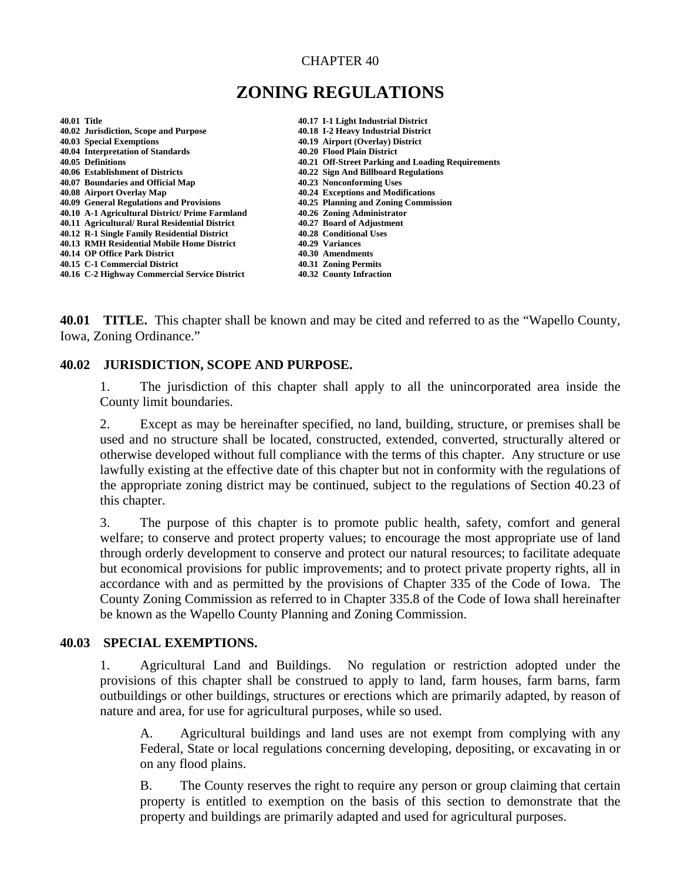#### CHAPTER 40

# **ZONING REGULATIONS**

| <b>40.01 Title</b> |                                                 | 40.17 I-1 Light Industrial District               |
|--------------------|-------------------------------------------------|---------------------------------------------------|
|                    | 40.02 Jurisdiction, Scope and Purpose           | 40.18 I-2 Heavy Industrial District               |
|                    | 40.03 Special Exemptions                        | 40.19 Airport (Overlay) District                  |
|                    | 40.04 Interpretation of Standards               | 40.20 Flood Plain District                        |
|                    | 40.05 Definitions                               | 40.21 Off-Street Parking and Loading Requirements |
|                    | 40.06 Establishment of Districts                | 40.22 Sign And Billboard Regulations              |
|                    | 40.07 Boundaries and Official Map               | 40.23 Nonconforming Uses                          |
|                    | 40.08 Airport Overlay Map                       | 40.24 Exceptions and Modifications                |
|                    | 40.09 General Regulations and Provisions        | 40.25 Planning and Zoning Commission              |
|                    | 40.10 A-1 Agricultural District/ Prime Farmland | 40.26 Zoning Administrator                        |
|                    | 40.11 Agricultural/ Rural Residential District  | 40.27 Board of Adjustment                         |
|                    | 40.12 R-1 Single Family Residential District    | 40.28 Conditional Uses                            |
|                    | 40.13 RMH Residential Mobile Home District      | 40.29 Variances                                   |
|                    | 40.14 OP Office Park District                   | 40.30 Amendments                                  |
|                    | 40.15 C-1 Commercial District                   | 40.31 Zoning Permits                              |
|                    | 40.16 C-2 Highway Commercial Service District   | 40.32 County Infraction                           |
|                    |                                                 |                                                   |

**40.01 TITLE.** This chapter shall be known and may be cited and referred to as the "Wapello County, Iowa, Zoning Ordinance."

#### **40.02 JURISDICTION, SCOPE AND PURPOSE.**

1. The jurisdiction of this chapter shall apply to all the unincorporated area inside the County limit boundaries.

2. Except as may be hereinafter specified, no land, building, structure, or premises shall be used and no structure shall be located, constructed, extended, converted, structurally altered or otherwise developed without full compliance with the terms of this chapter. Any structure or use lawfully existing at the effective date of this chapter but not in conformity with the regulations of the appropriate zoning district may be continued, subject to the regulations of Section 40.23 of this chapter.

3. The purpose of this chapter is to promote public health, safety, comfort and general welfare; to conserve and protect property values; to encourage the most appropriate use of land through orderly development to conserve and protect our natural resources; to facilitate adequate but economical provisions for public improvements; and to protect private property rights, all in accordance with and as permitted by the provisions of Chapter 335 of the Code of Iowa. The County Zoning Commission as referred to in Chapter 335.8 of the Code of Iowa shall hereinafter be known as the Wapello County Planning and Zoning Commission.

#### **40.03 SPECIAL EXEMPTIONS.**

1. Agricultural Land and Buildings. No regulation or restriction adopted under the provisions of this chapter shall be construed to apply to land, farm houses, farm barns, farm outbuildings or other buildings, structures or erections which are primarily adapted, by reason of nature and area, for use for agricultural purposes, while so used.

A. Agricultural buildings and land uses are not exempt from complying with any Federal, State or local regulations concerning developing, depositing, or excavating in or on any flood plains.

B. The County reserves the right to require any person or group claiming that certain property is entitled to exemption on the basis of this section to demonstrate that the property and buildings are primarily adapted and used for agricultural purposes.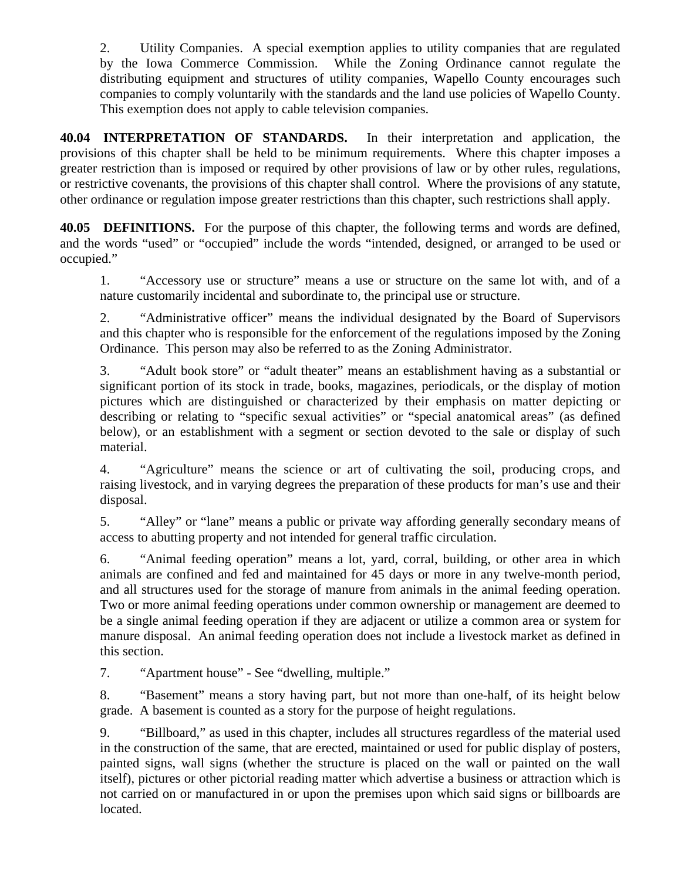2. Utility Companies. A special exemption applies to utility companies that are regulated by the Iowa Commerce Commission. While the Zoning Ordinance cannot regulate the distributing equipment and structures of utility companies, Wapello County encourages such companies to comply voluntarily with the standards and the land use policies of Wapello County. This exemption does not apply to cable television companies.

**40.04 INTERPRETATION OF STANDARDS.** In their interpretation and application, the provisions of this chapter shall be held to be minimum requirements. Where this chapter imposes a greater restriction than is imposed or required by other provisions of law or by other rules, regulations, or restrictive covenants, the provisions of this chapter shall control. Where the provisions of any statute, other ordinance or regulation impose greater restrictions than this chapter, such restrictions shall apply.

**40.05 DEFINITIONS.** For the purpose of this chapter, the following terms and words are defined, and the words "used" or "occupied" include the words "intended, designed, or arranged to be used or occupied."

1. "Accessory use or structure" means a use or structure on the same lot with, and of a nature customarily incidental and subordinate to, the principal use or structure.

2. "Administrative officer" means the individual designated by the Board of Supervisors and this chapter who is responsible for the enforcement of the regulations imposed by the Zoning Ordinance. This person may also be referred to as the Zoning Administrator.

3. "Adult book store" or "adult theater" means an establishment having as a substantial or significant portion of its stock in trade, books, magazines, periodicals, or the display of motion pictures which are distinguished or characterized by their emphasis on matter depicting or describing or relating to "specific sexual activities" or "special anatomical areas" (as defined below), or an establishment with a segment or section devoted to the sale or display of such material.

4. "Agriculture" means the science or art of cultivating the soil, producing crops, and raising livestock, and in varying degrees the preparation of these products for man's use and their disposal.

5. "Alley" or "lane" means a public or private way affording generally secondary means of access to abutting property and not intended for general traffic circulation.

6. "Animal feeding operation" means a lot, yard, corral, building, or other area in which animals are confined and fed and maintained for 45 days or more in any twelve-month period, and all structures used for the storage of manure from animals in the animal feeding operation. Two or more animal feeding operations under common ownership or management are deemed to be a single animal feeding operation if they are adjacent or utilize a common area or system for manure disposal. An animal feeding operation does not include a livestock market as defined in this section.

7. "Apartment house" - See "dwelling, multiple."

8. "Basement" means a story having part, but not more than one-half, of its height below grade. A basement is counted as a story for the purpose of height regulations.

9. "Billboard," as used in this chapter, includes all structures regardless of the material used in the construction of the same, that are erected, maintained or used for public display of posters, painted signs, wall signs (whether the structure is placed on the wall or painted on the wall itself), pictures or other pictorial reading matter which advertise a business or attraction which is not carried on or manufactured in or upon the premises upon which said signs or billboards are located.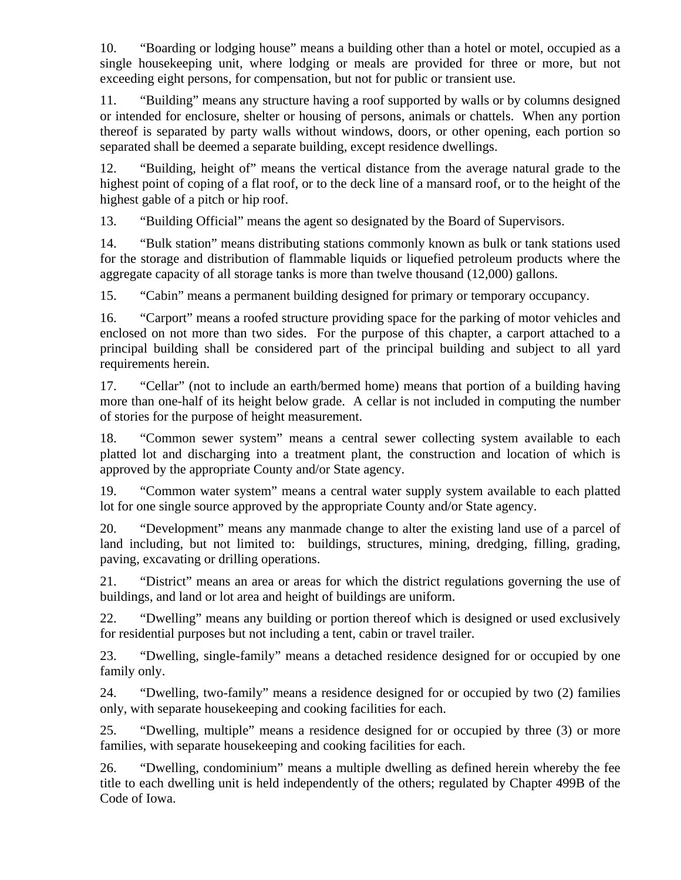10. "Boarding or lodging house" means a building other than a hotel or motel, occupied as a single housekeeping unit, where lodging or meals are provided for three or more, but not exceeding eight persons, for compensation, but not for public or transient use.

11. "Building" means any structure having a roof supported by walls or by columns designed or intended for enclosure, shelter or housing of persons, animals or chattels. When any portion thereof is separated by party walls without windows, doors, or other opening, each portion so separated shall be deemed a separate building, except residence dwellings.

12. "Building, height of" means the vertical distance from the average natural grade to the highest point of coping of a flat roof, or to the deck line of a mansard roof, or to the height of the highest gable of a pitch or hip roof.

13. "Building Official" means the agent so designated by the Board of Supervisors.

14. "Bulk station" means distributing stations commonly known as bulk or tank stations used for the storage and distribution of flammable liquids or liquefied petroleum products where the aggregate capacity of all storage tanks is more than twelve thousand (12,000) gallons.

15. "Cabin" means a permanent building designed for primary or temporary occupancy.

16. "Carport" means a roofed structure providing space for the parking of motor vehicles and enclosed on not more than two sides. For the purpose of this chapter, a carport attached to a principal building shall be considered part of the principal building and subject to all yard requirements herein.

17. "Cellar" (not to include an earth/bermed home) means that portion of a building having more than one-half of its height below grade. A cellar is not included in computing the number of stories for the purpose of height measurement.

18. "Common sewer system" means a central sewer collecting system available to each platted lot and discharging into a treatment plant, the construction and location of which is approved by the appropriate County and/or State agency.

19. "Common water system" means a central water supply system available to each platted lot for one single source approved by the appropriate County and/or State agency.

20. "Development" means any manmade change to alter the existing land use of a parcel of land including, but not limited to: buildings, structures, mining, dredging, filling, grading, paving, excavating or drilling operations.

21. "District" means an area or areas for which the district regulations governing the use of buildings, and land or lot area and height of buildings are uniform.

22. "Dwelling" means any building or portion thereof which is designed or used exclusively for residential purposes but not including a tent, cabin or travel trailer.

23. "Dwelling, single-family" means a detached residence designed for or occupied by one family only.

24. "Dwelling, two-family" means a residence designed for or occupied by two (2) families only, with separate housekeeping and cooking facilities for each.

25. "Dwelling, multiple" means a residence designed for or occupied by three (3) or more families, with separate housekeeping and cooking facilities for each.

26. "Dwelling, condominium" means a multiple dwelling as defined herein whereby the fee title to each dwelling unit is held independently of the others; regulated by Chapter 499B of the Code of Iowa.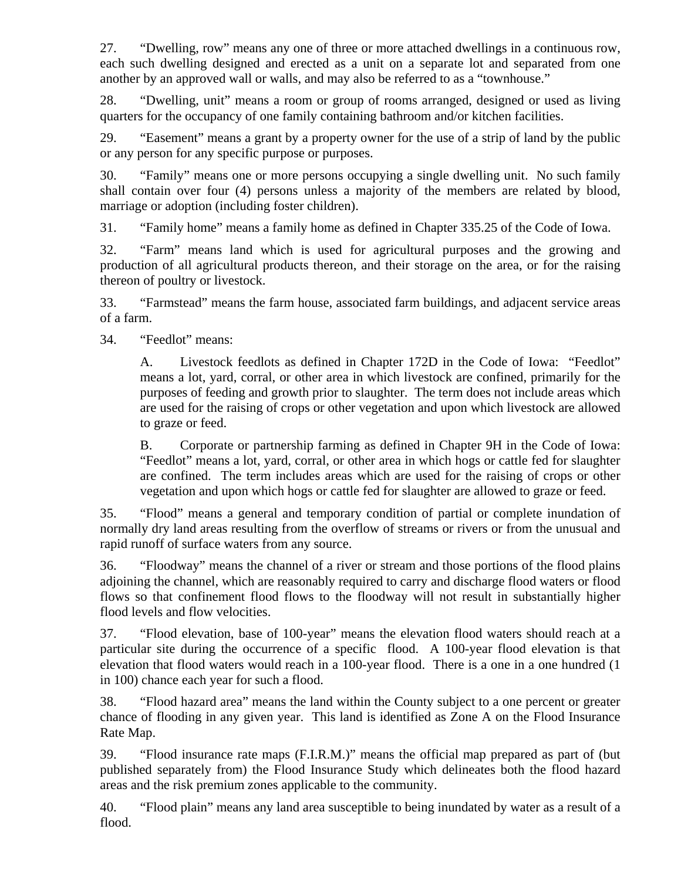27. "Dwelling, row" means any one of three or more attached dwellings in a continuous row, each such dwelling designed and erected as a unit on a separate lot and separated from one another by an approved wall or walls, and may also be referred to as a "townhouse."

28. "Dwelling, unit" means a room or group of rooms arranged, designed or used as living quarters for the occupancy of one family containing bathroom and/or kitchen facilities.

29. "Easement" means a grant by a property owner for the use of a strip of land by the public or any person for any specific purpose or purposes.

30. "Family" means one or more persons occupying a single dwelling unit. No such family shall contain over four (4) persons unless a majority of the members are related by blood, marriage or adoption (including foster children).

31. "Family home" means a family home as defined in Chapter 335.25 of the Code of Iowa.

32. "Farm" means land which is used for agricultural purposes and the growing and production of all agricultural products thereon, and their storage on the area, or for the raising thereon of poultry or livestock.

33. "Farmstead" means the farm house, associated farm buildings, and adjacent service areas of a farm.

34. "Feedlot" means:

A. Livestock feedlots as defined in Chapter 172D in the Code of Iowa: "Feedlot" means a lot, yard, corral, or other area in which livestock are confined, primarily for the purposes of feeding and growth prior to slaughter. The term does not include areas which are used for the raising of crops or other vegetation and upon which livestock are allowed to graze or feed.

B. Corporate or partnership farming as defined in Chapter 9H in the Code of Iowa: "Feedlot" means a lot, yard, corral, or other area in which hogs or cattle fed for slaughter are confined. The term includes areas which are used for the raising of crops or other vegetation and upon which hogs or cattle fed for slaughter are allowed to graze or feed.

35. "Flood" means a general and temporary condition of partial or complete inundation of normally dry land areas resulting from the overflow of streams or rivers or from the unusual and rapid runoff of surface waters from any source.

36. "Floodway" means the channel of a river or stream and those portions of the flood plains adjoining the channel, which are reasonably required to carry and discharge flood waters or flood flows so that confinement flood flows to the floodway will not result in substantially higher flood levels and flow velocities.

37. "Flood elevation, base of 100-year" means the elevation flood waters should reach at a particular site during the occurrence of a specific flood. A 100-year flood elevation is that elevation that flood waters would reach in a 100-year flood. There is a one in a one hundred (1 in 100) chance each year for such a flood.

38. "Flood hazard area" means the land within the County subject to a one percent or greater chance of flooding in any given year. This land is identified as Zone A on the Flood Insurance Rate Map.

39. "Flood insurance rate maps (F.I.R.M.)" means the official map prepared as part of (but published separately from) the Flood Insurance Study which delineates both the flood hazard areas and the risk premium zones applicable to the community.

40. "Flood plain" means any land area susceptible to being inundated by water as a result of a flood.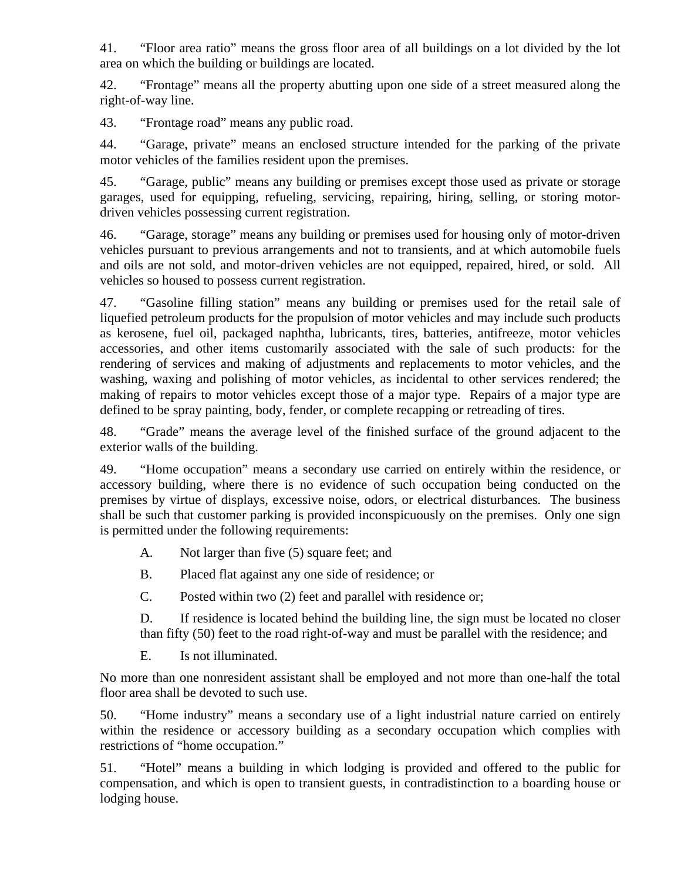41. "Floor area ratio" means the gross floor area of all buildings on a lot divided by the lot area on which the building or buildings are located.

42. "Frontage" means all the property abutting upon one side of a street measured along the right-of-way line.

43. "Frontage road" means any public road.

44. "Garage, private" means an enclosed structure intended for the parking of the private motor vehicles of the families resident upon the premises.

45. "Garage, public" means any building or premises except those used as private or storage garages, used for equipping, refueling, servicing, repairing, hiring, selling, or storing motordriven vehicles possessing current registration.

46. "Garage, storage" means any building or premises used for housing only of motor-driven vehicles pursuant to previous arrangements and not to transients, and at which automobile fuels and oils are not sold, and motor-driven vehicles are not equipped, repaired, hired, or sold. All vehicles so housed to possess current registration.

47. "Gasoline filling station" means any building or premises used for the retail sale of liquefied petroleum products for the propulsion of motor vehicles and may include such products as kerosene, fuel oil, packaged naphtha, lubricants, tires, batteries, antifreeze, motor vehicles accessories, and other items customarily associated with the sale of such products: for the rendering of services and making of adjustments and replacements to motor vehicles, and the washing, waxing and polishing of motor vehicles, as incidental to other services rendered; the making of repairs to motor vehicles except those of a major type. Repairs of a major type are defined to be spray painting, body, fender, or complete recapping or retreading of tires.

48. "Grade" means the average level of the finished surface of the ground adjacent to the exterior walls of the building.

49. "Home occupation" means a secondary use carried on entirely within the residence, or accessory building, where there is no evidence of such occupation being conducted on the premises by virtue of displays, excessive noise, odors, or electrical disturbances. The business shall be such that customer parking is provided inconspicuously on the premises. Only one sign is permitted under the following requirements:

- A. Not larger than five (5) square feet; and
- B. Placed flat against any one side of residence; or
- C. Posted within two (2) feet and parallel with residence or;

D. If residence is located behind the building line, the sign must be located no closer than fifty (50) feet to the road right-of-way and must be parallel with the residence; and

E. Is not illuminated.

No more than one nonresident assistant shall be employed and not more than one-half the total floor area shall be devoted to such use.

50. "Home industry" means a secondary use of a light industrial nature carried on entirely within the residence or accessory building as a secondary occupation which complies with restrictions of "home occupation."

51. "Hotel" means a building in which lodging is provided and offered to the public for compensation, and which is open to transient guests, in contradistinction to a boarding house or lodging house.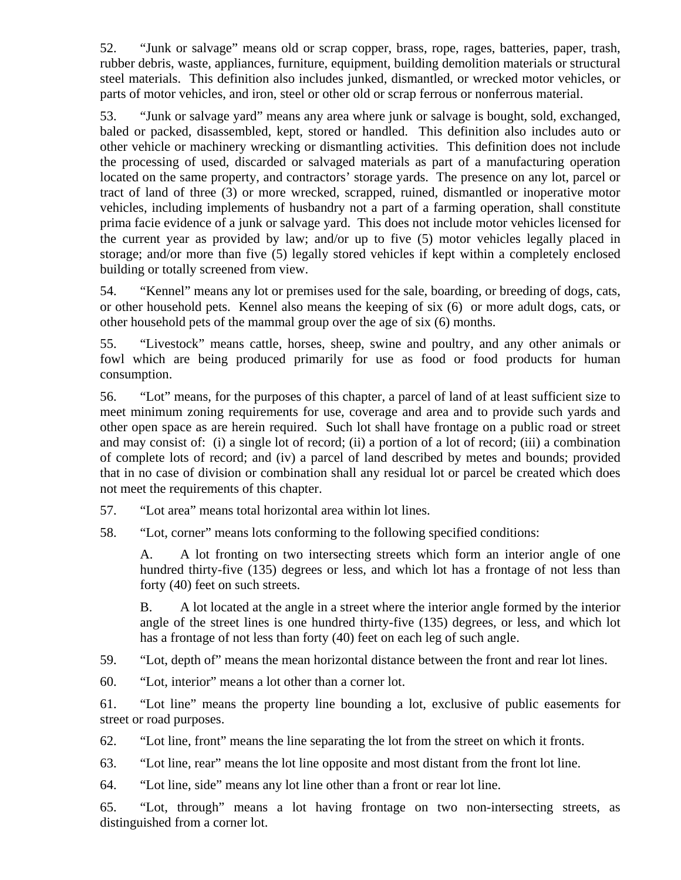52. "Junk or salvage" means old or scrap copper, brass, rope, rages, batteries, paper, trash, rubber debris, waste, appliances, furniture, equipment, building demolition materials or structural steel materials. This definition also includes junked, dismantled, or wrecked motor vehicles, or parts of motor vehicles, and iron, steel or other old or scrap ferrous or nonferrous material.

53. "Junk or salvage yard" means any area where junk or salvage is bought, sold, exchanged, baled or packed, disassembled, kept, stored or handled. This definition also includes auto or other vehicle or machinery wrecking or dismantling activities. This definition does not include the processing of used, discarded or salvaged materials as part of a manufacturing operation located on the same property, and contractors' storage yards. The presence on any lot, parcel or tract of land of three (3) or more wrecked, scrapped, ruined, dismantled or inoperative motor vehicles, including implements of husbandry not a part of a farming operation, shall constitute prima facie evidence of a junk or salvage yard. This does not include motor vehicles licensed for the current year as provided by law; and/or up to five (5) motor vehicles legally placed in storage; and/or more than five (5) legally stored vehicles if kept within a completely enclosed building or totally screened from view.

54. "Kennel" means any lot or premises used for the sale, boarding, or breeding of dogs, cats, or other household pets. Kennel also means the keeping of six (6) or more adult dogs, cats, or other household pets of the mammal group over the age of six (6) months.

55. "Livestock" means cattle, horses, sheep, swine and poultry, and any other animals or fowl which are being produced primarily for use as food or food products for human consumption.

56. "Lot" means, for the purposes of this chapter, a parcel of land of at least sufficient size to meet minimum zoning requirements for use, coverage and area and to provide such yards and other open space as are herein required. Such lot shall have frontage on a public road or street and may consist of: (i) a single lot of record; (ii) a portion of a lot of record; (iii) a combination of complete lots of record; and (iv) a parcel of land described by metes and bounds; provided that in no case of division or combination shall any residual lot or parcel be created which does not meet the requirements of this chapter.

- 57. "Lot area" means total horizontal area within lot lines.
- 58. "Lot, corner" means lots conforming to the following specified conditions:

A. A lot fronting on two intersecting streets which form an interior angle of one hundred thirty-five (135) degrees or less, and which lot has a frontage of not less than forty (40) feet on such streets.

B. A lot located at the angle in a street where the interior angle formed by the interior angle of the street lines is one hundred thirty-five (135) degrees, or less, and which lot has a frontage of not less than forty (40) feet on each leg of such angle.

59. "Lot, depth of" means the mean horizontal distance between the front and rear lot lines.

60. "Lot, interior" means a lot other than a corner lot.

61. "Lot line" means the property line bounding a lot, exclusive of public easements for street or road purposes.

62. "Lot line, front" means the line separating the lot from the street on which it fronts.

63. "Lot line, rear" means the lot line opposite and most distant from the front lot line.

64. "Lot line, side" means any lot line other than a front or rear lot line.

65. "Lot, through" means a lot having frontage on two non-intersecting streets, as distinguished from a corner lot.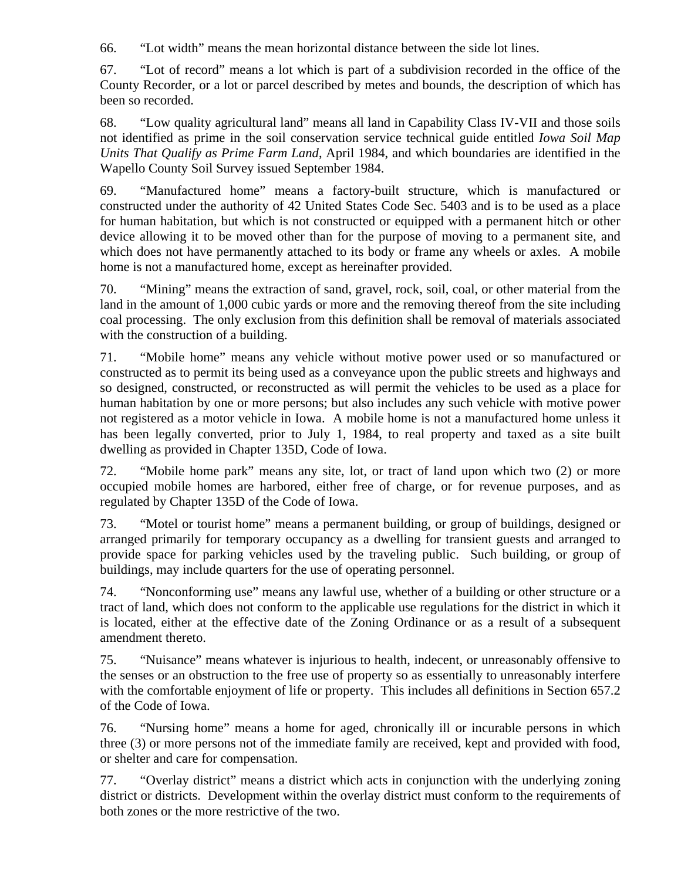66. "Lot width" means the mean horizontal distance between the side lot lines.

67. "Lot of record" means a lot which is part of a subdivision recorded in the office of the County Recorder, or a lot or parcel described by metes and bounds, the description of which has been so recorded.

68. "Low quality agricultural land" means all land in Capability Class IV-VII and those soils not identified as prime in the soil conservation service technical guide entitled *Iowa Soil Map Units That Qualify as Prime Farm Land*, April 1984, and which boundaries are identified in the Wapello County Soil Survey issued September 1984.

69. "Manufactured home" means a factory-built structure, which is manufactured or constructed under the authority of 42 United States Code Sec. 5403 and is to be used as a place for human habitation, but which is not constructed or equipped with a permanent hitch or other device allowing it to be moved other than for the purpose of moving to a permanent site, and which does not have permanently attached to its body or frame any wheels or axles. A mobile home is not a manufactured home, except as hereinafter provided.

70. "Mining" means the extraction of sand, gravel, rock, soil, coal, or other material from the land in the amount of 1,000 cubic yards or more and the removing thereof from the site including coal processing. The only exclusion from this definition shall be removal of materials associated with the construction of a building.

71. "Mobile home" means any vehicle without motive power used or so manufactured or constructed as to permit its being used as a conveyance upon the public streets and highways and so designed, constructed, or reconstructed as will permit the vehicles to be used as a place for human habitation by one or more persons; but also includes any such vehicle with motive power not registered as a motor vehicle in Iowa. A mobile home is not a manufactured home unless it has been legally converted, prior to July 1, 1984, to real property and taxed as a site built dwelling as provided in Chapter 135D, Code of Iowa.

72. "Mobile home park" means any site, lot, or tract of land upon which two (2) or more occupied mobile homes are harbored, either free of charge, or for revenue purposes, and as regulated by Chapter 135D of the Code of Iowa.

73. "Motel or tourist home" means a permanent building, or group of buildings, designed or arranged primarily for temporary occupancy as a dwelling for transient guests and arranged to provide space for parking vehicles used by the traveling public. Such building, or group of buildings, may include quarters for the use of operating personnel.

74. "Nonconforming use" means any lawful use, whether of a building or other structure or a tract of land, which does not conform to the applicable use regulations for the district in which it is located, either at the effective date of the Zoning Ordinance or as a result of a subsequent amendment thereto.

75. "Nuisance" means whatever is injurious to health, indecent, or unreasonably offensive to the senses or an obstruction to the free use of property so as essentially to unreasonably interfere with the comfortable enjoyment of life or property. This includes all definitions in Section 657.2 of the Code of Iowa.

76. "Nursing home" means a home for aged, chronically ill or incurable persons in which three (3) or more persons not of the immediate family are received, kept and provided with food, or shelter and care for compensation.

77. "Overlay district" means a district which acts in conjunction with the underlying zoning district or districts. Development within the overlay district must conform to the requirements of both zones or the more restrictive of the two.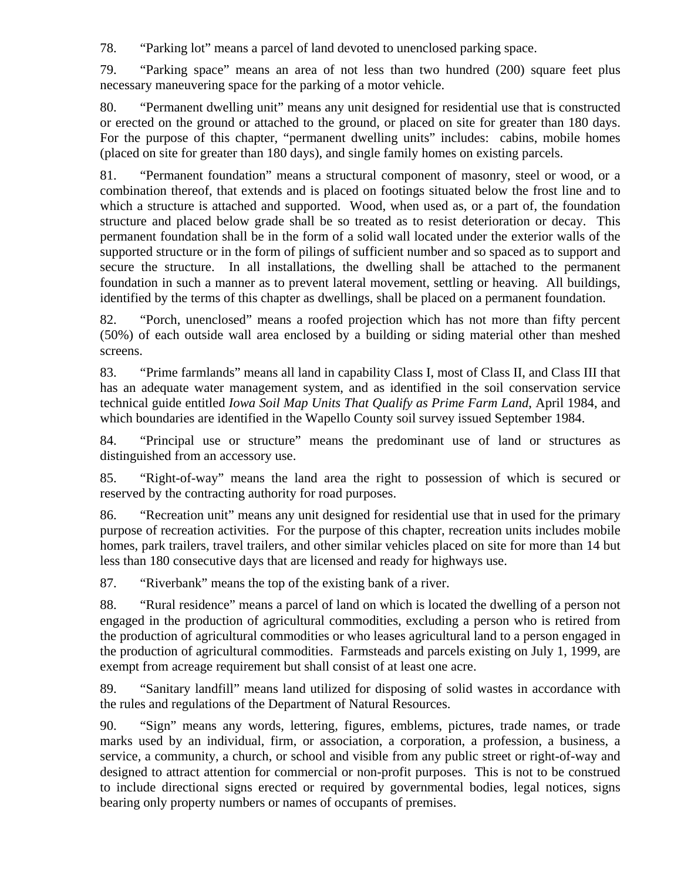78. "Parking lot" means a parcel of land devoted to unenclosed parking space.

79. "Parking space" means an area of not less than two hundred (200) square feet plus necessary maneuvering space for the parking of a motor vehicle.

80. "Permanent dwelling unit" means any unit designed for residential use that is constructed or erected on the ground or attached to the ground, or placed on site for greater than 180 days. For the purpose of this chapter, "permanent dwelling units" includes: cabins, mobile homes (placed on site for greater than 180 days), and single family homes on existing parcels.

81. "Permanent foundation" means a structural component of masonry, steel or wood, or a combination thereof, that extends and is placed on footings situated below the frost line and to which a structure is attached and supported. Wood, when used as, or a part of, the foundation structure and placed below grade shall be so treated as to resist deterioration or decay. This permanent foundation shall be in the form of a solid wall located under the exterior walls of the supported structure or in the form of pilings of sufficient number and so spaced as to support and secure the structure. In all installations, the dwelling shall be attached to the permanent foundation in such a manner as to prevent lateral movement, settling or heaving. All buildings, identified by the terms of this chapter as dwellings, shall be placed on a permanent foundation.

82. "Porch, unenclosed" means a roofed projection which has not more than fifty percent (50%) of each outside wall area enclosed by a building or siding material other than meshed screens.

83. "Prime farmlands" means all land in capability Class I, most of Class II, and Class III that has an adequate water management system, and as identified in the soil conservation service technical guide entitled *Iowa Soil Map Units That Qualify as Prime Farm Land*, April 1984, and which boundaries are identified in the Wapello County soil survey issued September 1984.

84. "Principal use or structure" means the predominant use of land or structures as distinguished from an accessory use.

85. "Right-of-way" means the land area the right to possession of which is secured or reserved by the contracting authority for road purposes.

86. "Recreation unit" means any unit designed for residential use that in used for the primary purpose of recreation activities. For the purpose of this chapter, recreation units includes mobile homes, park trailers, travel trailers, and other similar vehicles placed on site for more than 14 but less than 180 consecutive days that are licensed and ready for highways use.

87. "Riverbank" means the top of the existing bank of a river.

88. "Rural residence" means a parcel of land on which is located the dwelling of a person not engaged in the production of agricultural commodities, excluding a person who is retired from the production of agricultural commodities or who leases agricultural land to a person engaged in the production of agricultural commodities. Farmsteads and parcels existing on July 1, 1999, are exempt from acreage requirement but shall consist of at least one acre.

89. "Sanitary landfill" means land utilized for disposing of solid wastes in accordance with the rules and regulations of the Department of Natural Resources.

90. "Sign" means any words, lettering, figures, emblems, pictures, trade names, or trade marks used by an individual, firm, or association, a corporation, a profession, a business, a service, a community, a church, or school and visible from any public street or right-of-way and designed to attract attention for commercial or non-profit purposes. This is not to be construed to include directional signs erected or required by governmental bodies, legal notices, signs bearing only property numbers or names of occupants of premises.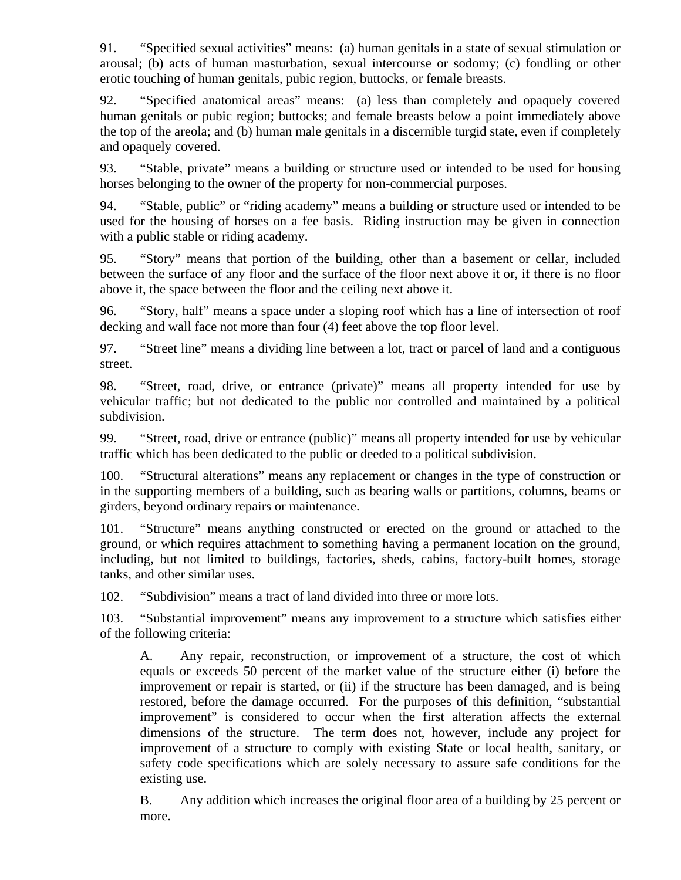91. "Specified sexual activities" means: (a) human genitals in a state of sexual stimulation or arousal; (b) acts of human masturbation, sexual intercourse or sodomy; (c) fondling or other erotic touching of human genitals, pubic region, buttocks, or female breasts.

92. "Specified anatomical areas" means: (a) less than completely and opaquely covered human genitals or pubic region; buttocks; and female breasts below a point immediately above the top of the areola; and (b) human male genitals in a discernible turgid state, even if completely and opaquely covered.

93. "Stable, private" means a building or structure used or intended to be used for housing horses belonging to the owner of the property for non-commercial purposes.

94. "Stable, public" or "riding academy" means a building or structure used or intended to be used for the housing of horses on a fee basis. Riding instruction may be given in connection with a public stable or riding academy.

95. "Story" means that portion of the building, other than a basement or cellar, included between the surface of any floor and the surface of the floor next above it or, if there is no floor above it, the space between the floor and the ceiling next above it.

96. "Story, half" means a space under a sloping roof which has a line of intersection of roof decking and wall face not more than four (4) feet above the top floor level.

97. "Street line" means a dividing line between a lot, tract or parcel of land and a contiguous street.

98. "Street, road, drive, or entrance (private)" means all property intended for use by vehicular traffic; but not dedicated to the public nor controlled and maintained by a political subdivision.

99. "Street, road, drive or entrance (public)" means all property intended for use by vehicular traffic which has been dedicated to the public or deeded to a political subdivision.

100. "Structural alterations" means any replacement or changes in the type of construction or in the supporting members of a building, such as bearing walls or partitions, columns, beams or girders, beyond ordinary repairs or maintenance.

101. "Structure" means anything constructed or erected on the ground or attached to the ground, or which requires attachment to something having a permanent location on the ground, including, but not limited to buildings, factories, sheds, cabins, factory-built homes, storage tanks, and other similar uses.

102. "Subdivision" means a tract of land divided into three or more lots.

103. "Substantial improvement" means any improvement to a structure which satisfies either of the following criteria:

A. Any repair, reconstruction, or improvement of a structure, the cost of which equals or exceeds 50 percent of the market value of the structure either (i) before the improvement or repair is started, or (ii) if the structure has been damaged, and is being restored, before the damage occurred. For the purposes of this definition, "substantial improvement" is considered to occur when the first alteration affects the external dimensions of the structure. The term does not, however, include any project for improvement of a structure to comply with existing State or local health, sanitary, or safety code specifications which are solely necessary to assure safe conditions for the existing use.

B. Any addition which increases the original floor area of a building by 25 percent or more.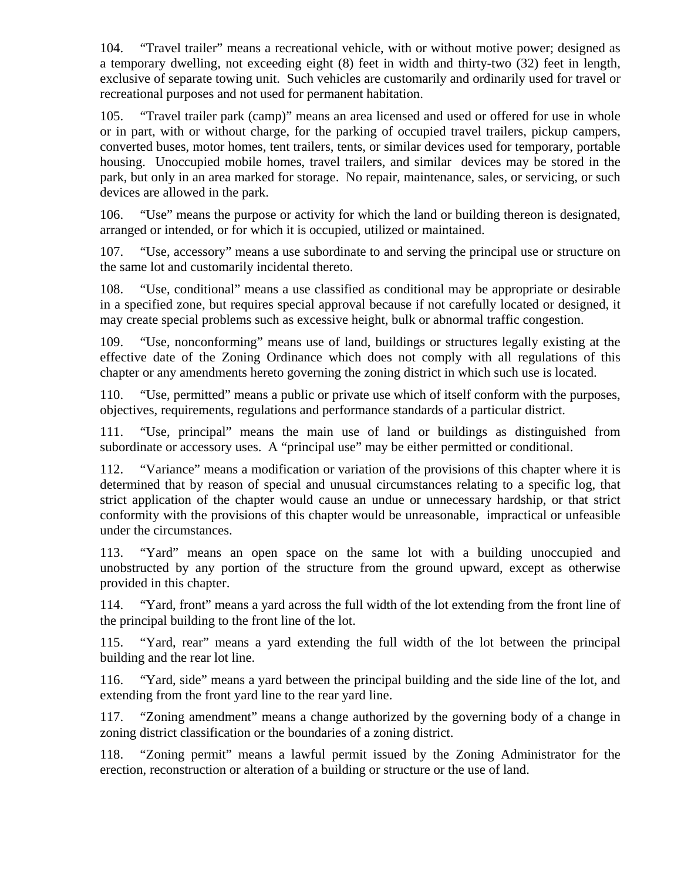104. "Travel trailer" means a recreational vehicle, with or without motive power; designed as a temporary dwelling, not exceeding eight (8) feet in width and thirty-two (32) feet in length, exclusive of separate towing unit. Such vehicles are customarily and ordinarily used for travel or recreational purposes and not used for permanent habitation.

105. "Travel trailer park (camp)" means an area licensed and used or offered for use in whole or in part, with or without charge, for the parking of occupied travel trailers, pickup campers, converted buses, motor homes, tent trailers, tents, or similar devices used for temporary, portable housing. Unoccupied mobile homes, travel trailers, and similar devices may be stored in the park, but only in an area marked for storage. No repair, maintenance, sales, or servicing, or such devices are allowed in the park.

106. "Use" means the purpose or activity for which the land or building thereon is designated, arranged or intended, or for which it is occupied, utilized or maintained.

107. "Use, accessory" means a use subordinate to and serving the principal use or structure on the same lot and customarily incidental thereto.

108. "Use, conditional" means a use classified as conditional may be appropriate or desirable in a specified zone, but requires special approval because if not carefully located or designed, it may create special problems such as excessive height, bulk or abnormal traffic congestion.

109. "Use, nonconforming" means use of land, buildings or structures legally existing at the effective date of the Zoning Ordinance which does not comply with all regulations of this chapter or any amendments hereto governing the zoning district in which such use is located.

110. "Use, permitted" means a public or private use which of itself conform with the purposes, objectives, requirements, regulations and performance standards of a particular district.

111. "Use, principal" means the main use of land or buildings as distinguished from subordinate or accessory uses. A "principal use" may be either permitted or conditional.

112. "Variance" means a modification or variation of the provisions of this chapter where it is determined that by reason of special and unusual circumstances relating to a specific log, that strict application of the chapter would cause an undue or unnecessary hardship, or that strict conformity with the provisions of this chapter would be unreasonable, impractical or unfeasible under the circumstances.

113. "Yard" means an open space on the same lot with a building unoccupied and unobstructed by any portion of the structure from the ground upward, except as otherwise provided in this chapter.

114. "Yard, front" means a yard across the full width of the lot extending from the front line of the principal building to the front line of the lot.

115. "Yard, rear" means a yard extending the full width of the lot between the principal building and the rear lot line.

116. "Yard, side" means a yard between the principal building and the side line of the lot, and extending from the front yard line to the rear yard line.

117. "Zoning amendment" means a change authorized by the governing body of a change in zoning district classification or the boundaries of a zoning district.

118. "Zoning permit" means a lawful permit issued by the Zoning Administrator for the erection, reconstruction or alteration of a building or structure or the use of land.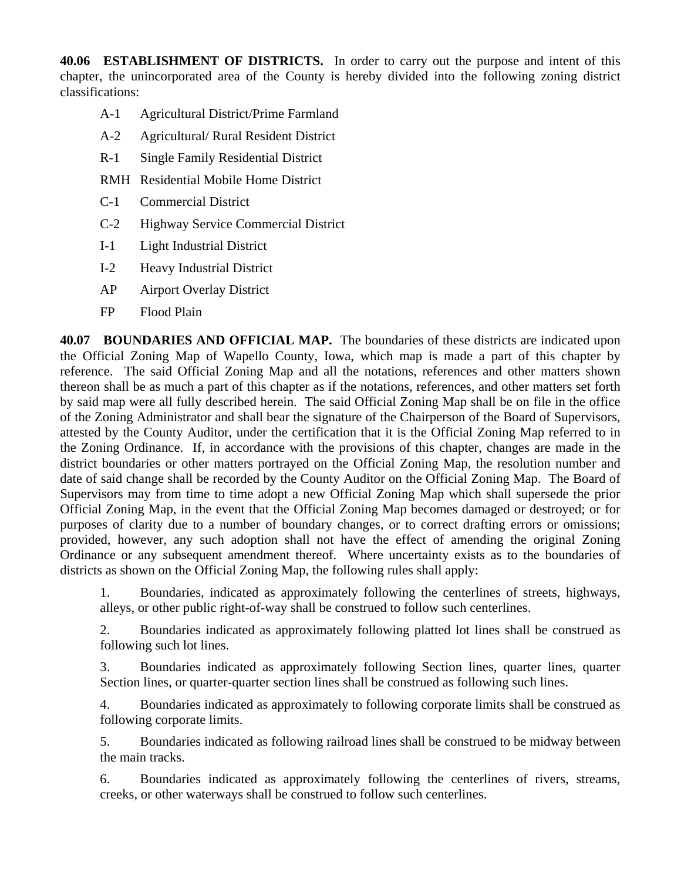**40.06 ESTABLISHMENT OF DISTRICTS.** In order to carry out the purpose and intent of this chapter, the unincorporated area of the County is hereby divided into the following zoning district classifications:

- A-1 Agricultural District/Prime Farmland
- A-2 Agricultural/ Rural Resident District
- R-1 Single Family Residential District
- RMH Residential Mobile Home District
- C-1 Commercial District
- C-2 Highway Service Commercial District
- I-1 Light Industrial District
- I-2 Heavy Industrial District
- AP Airport Overlay District
- FP Flood Plain

**40.07 BOUNDARIES AND OFFICIAL MAP.** The boundaries of these districts are indicated upon the Official Zoning Map of Wapello County, Iowa, which map is made a part of this chapter by reference. The said Official Zoning Map and all the notations, references and other matters shown thereon shall be as much a part of this chapter as if the notations, references, and other matters set forth by said map were all fully described herein. The said Official Zoning Map shall be on file in the office of the Zoning Administrator and shall bear the signature of the Chairperson of the Board of Supervisors, attested by the County Auditor, under the certification that it is the Official Zoning Map referred to in the Zoning Ordinance. If, in accordance with the provisions of this chapter, changes are made in the district boundaries or other matters portrayed on the Official Zoning Map, the resolution number and date of said change shall be recorded by the County Auditor on the Official Zoning Map. The Board of Supervisors may from time to time adopt a new Official Zoning Map which shall supersede the prior Official Zoning Map, in the event that the Official Zoning Map becomes damaged or destroyed; or for purposes of clarity due to a number of boundary changes, or to correct drafting errors or omissions; provided, however, any such adoption shall not have the effect of amending the original Zoning Ordinance or any subsequent amendment thereof. Where uncertainty exists as to the boundaries of districts as shown on the Official Zoning Map, the following rules shall apply:

1. Boundaries, indicated as approximately following the centerlines of streets, highways, alleys, or other public right-of-way shall be construed to follow such centerlines.

2. Boundaries indicated as approximately following platted lot lines shall be construed as following such lot lines.

3. Boundaries indicated as approximately following Section lines, quarter lines, quarter Section lines, or quarter-quarter section lines shall be construed as following such lines.

4. Boundaries indicated as approximately to following corporate limits shall be construed as following corporate limits.

5. Boundaries indicated as following railroad lines shall be construed to be midway between the main tracks.

6. Boundaries indicated as approximately following the centerlines of rivers, streams, creeks, or other waterways shall be construed to follow such centerlines.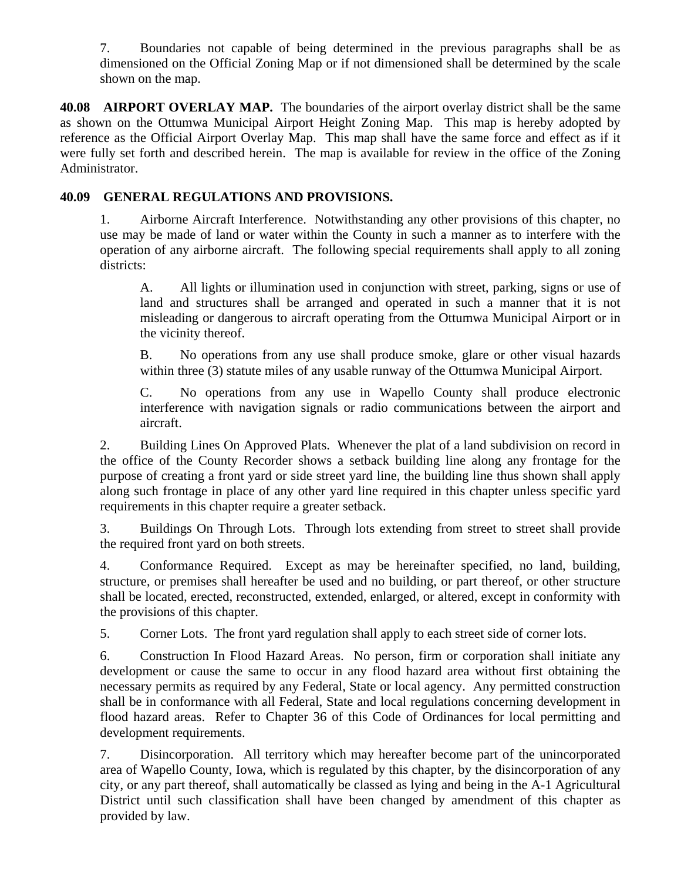7. Boundaries not capable of being determined in the previous paragraphs shall be as dimensioned on the Official Zoning Map or if not dimensioned shall be determined by the scale shown on the map.

**40.08 AIRPORT OVERLAY MAP.** The boundaries of the airport overlay district shall be the same as shown on the Ottumwa Municipal Airport Height Zoning Map. This map is hereby adopted by reference as the Official Airport Overlay Map. This map shall have the same force and effect as if it were fully set forth and described herein. The map is available for review in the office of the Zoning Administrator.

## **40.09 GENERAL REGULATIONS AND PROVISIONS.**

1. Airborne Aircraft Interference. Notwithstanding any other provisions of this chapter, no use may be made of land or water within the County in such a manner as to interfere with the operation of any airborne aircraft. The following special requirements shall apply to all zoning districts:

A. All lights or illumination used in conjunction with street, parking, signs or use of land and structures shall be arranged and operated in such a manner that it is not misleading or dangerous to aircraft operating from the Ottumwa Municipal Airport or in the vicinity thereof.

B. No operations from any use shall produce smoke, glare or other visual hazards within three (3) statute miles of any usable runway of the Ottumwa Municipal Airport.

C. No operations from any use in Wapello County shall produce electronic interference with navigation signals or radio communications between the airport and aircraft.

2. Building Lines On Approved Plats. Whenever the plat of a land subdivision on record in the office of the County Recorder shows a setback building line along any frontage for the purpose of creating a front yard or side street yard line, the building line thus shown shall apply along such frontage in place of any other yard line required in this chapter unless specific yard requirements in this chapter require a greater setback.

3. Buildings On Through Lots. Through lots extending from street to street shall provide the required front yard on both streets.

4. Conformance Required. Except as may be hereinafter specified, no land, building, structure, or premises shall hereafter be used and no building, or part thereof, or other structure shall be located, erected, reconstructed, extended, enlarged, or altered, except in conformity with the provisions of this chapter.

5. Corner Lots. The front yard regulation shall apply to each street side of corner lots.

6. Construction In Flood Hazard Areas. No person, firm or corporation shall initiate any development or cause the same to occur in any flood hazard area without first obtaining the necessary permits as required by any Federal, State or local agency. Any permitted construction shall be in conformance with all Federal, State and local regulations concerning development in flood hazard areas. Refer to Chapter 36 of this Code of Ordinances for local permitting and development requirements.

7. Disincorporation. All territory which may hereafter become part of the unincorporated area of Wapello County, Iowa, which is regulated by this chapter, by the disincorporation of any city, or any part thereof, shall automatically be classed as lying and being in the A-1 Agricultural District until such classification shall have been changed by amendment of this chapter as provided by law.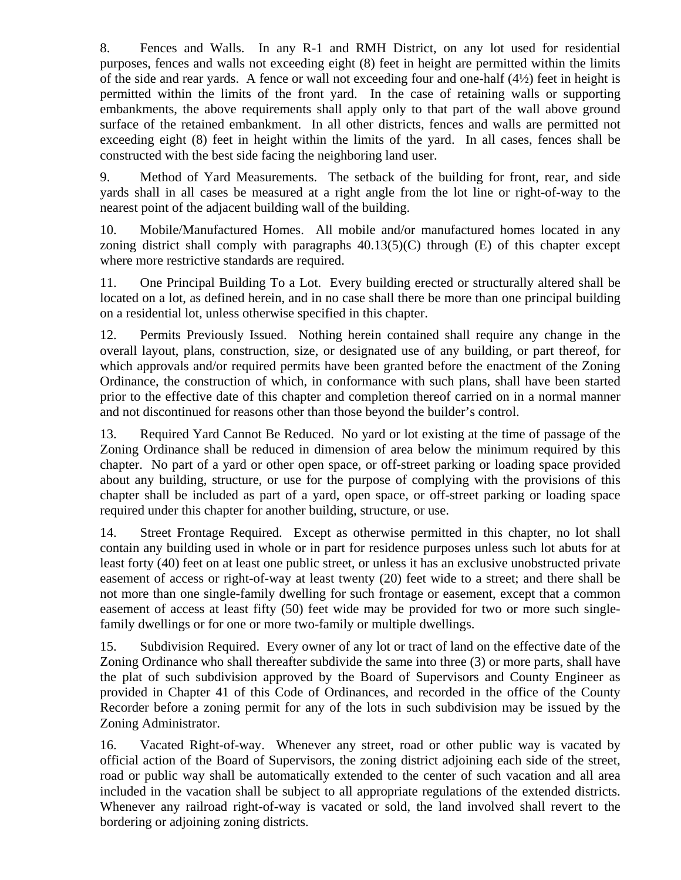8. Fences and Walls. In any R-1 and RMH District, on any lot used for residential purposes, fences and walls not exceeding eight (8) feet in height are permitted within the limits of the side and rear yards. A fence or wall not exceeding four and one-half  $(4\frac{1}{2})$  feet in height is permitted within the limits of the front yard. In the case of retaining walls or supporting embankments, the above requirements shall apply only to that part of the wall above ground surface of the retained embankment. In all other districts, fences and walls are permitted not exceeding eight (8) feet in height within the limits of the yard. In all cases, fences shall be constructed with the best side facing the neighboring land user.

9. Method of Yard Measurements. The setback of the building for front, rear, and side yards shall in all cases be measured at a right angle from the lot line or right-of-way to the nearest point of the adjacent building wall of the building.

10. Mobile/Manufactured Homes. All mobile and/or manufactured homes located in any zoning district shall comply with paragraphs  $40.13(5)(C)$  through  $(E)$  of this chapter except where more restrictive standards are required.

11. One Principal Building To a Lot. Every building erected or structurally altered shall be located on a lot, as defined herein, and in no case shall there be more than one principal building on a residential lot, unless otherwise specified in this chapter.

12. Permits Previously Issued. Nothing herein contained shall require any change in the overall layout, plans, construction, size, or designated use of any building, or part thereof, for which approvals and/or required permits have been granted before the enactment of the Zoning Ordinance, the construction of which, in conformance with such plans, shall have been started prior to the effective date of this chapter and completion thereof carried on in a normal manner and not discontinued for reasons other than those beyond the builder's control.

13. Required Yard Cannot Be Reduced. No yard or lot existing at the time of passage of the Zoning Ordinance shall be reduced in dimension of area below the minimum required by this chapter. No part of a yard or other open space, or off-street parking or loading space provided about any building, structure, or use for the purpose of complying with the provisions of this chapter shall be included as part of a yard, open space, or off-street parking or loading space required under this chapter for another building, structure, or use.

14. Street Frontage Required. Except as otherwise permitted in this chapter, no lot shall contain any building used in whole or in part for residence purposes unless such lot abuts for at least forty (40) feet on at least one public street, or unless it has an exclusive unobstructed private easement of access or right-of-way at least twenty (20) feet wide to a street; and there shall be not more than one single-family dwelling for such frontage or easement, except that a common easement of access at least fifty (50) feet wide may be provided for two or more such singlefamily dwellings or for one or more two-family or multiple dwellings.

15. Subdivision Required. Every owner of any lot or tract of land on the effective date of the Zoning Ordinance who shall thereafter subdivide the same into three (3) or more parts, shall have the plat of such subdivision approved by the Board of Supervisors and County Engineer as provided in Chapter 41 of this Code of Ordinances, and recorded in the office of the County Recorder before a zoning permit for any of the lots in such subdivision may be issued by the Zoning Administrator.

16. Vacated Right-of-way. Whenever any street, road or other public way is vacated by official action of the Board of Supervisors, the zoning district adjoining each side of the street, road or public way shall be automatically extended to the center of such vacation and all area included in the vacation shall be subject to all appropriate regulations of the extended districts. Whenever any railroad right-of-way is vacated or sold, the land involved shall revert to the bordering or adjoining zoning districts.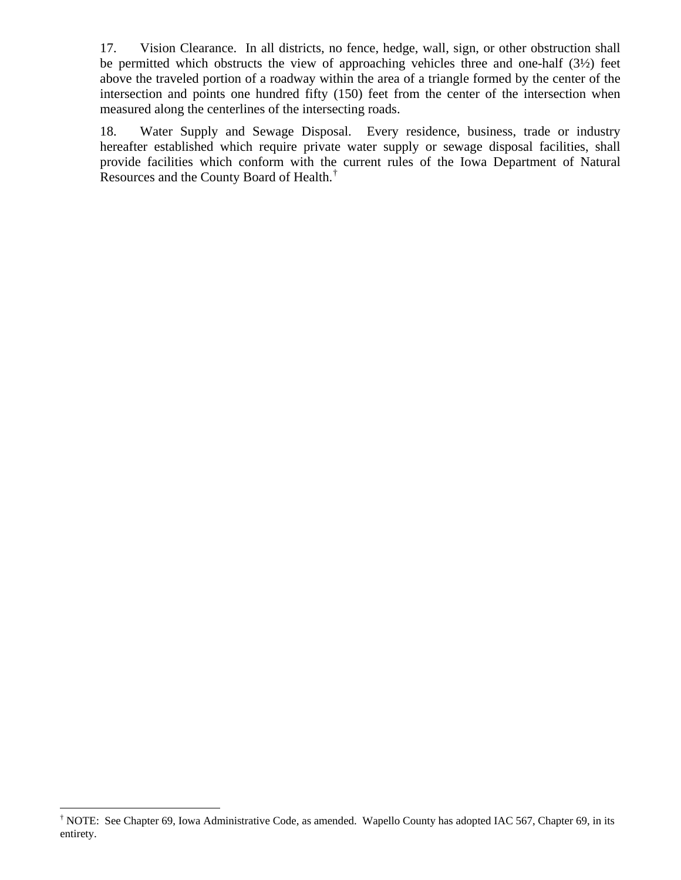17. Vision Clearance. In all districts, no fence, hedge, wall, sign, or other obstruction shall be permitted which obstructs the view of approaching vehicles three and one-half (3½) feet above the traveled portion of a roadway within the area of a triangle formed by the center of the intersection and points one hundred fifty (150) feet from the center of the intersection when measured along the centerlines of the intersecting roads.

18. Water Supply and Sewage Disposal. Every residence, business, trade or industry hereafter established which require private water supply or sewage disposal facilities, shall provide facilities which conform with the current rules of the Iowa Department of Natural Resources and the County Board of Health.<sup>[†](#page-13-0)</sup>

 $\overline{a}$ 

<span id="page-13-0"></span><sup>†</sup> NOTE: See Chapter 69, Iowa Administrative Code, as amended. Wapello County has adopted IAC 567, Chapter 69, in its entirety.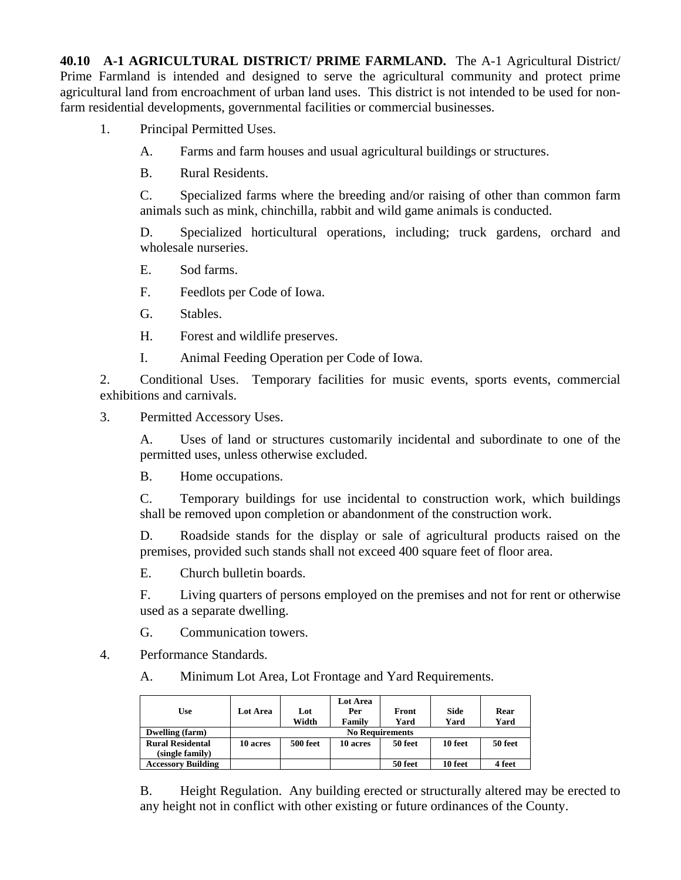**40.10 A-1 AGRICULTURAL DISTRICT/ PRIME FARMLAND.** The A-1 Agricultural District/ Prime Farmland is intended and designed to serve the agricultural community and protect prime agricultural land from encroachment of urban land uses. This district is not intended to be used for nonfarm residential developments, governmental facilities or commercial businesses.

1. Principal Permitted Uses.

A. Farms and farm houses and usual agricultural buildings or structures.

B. Rural Residents.

C. Specialized farms where the breeding and/or raising of other than common farm animals such as mink, chinchilla, rabbit and wild game animals is conducted.

D. Specialized horticultural operations, including; truck gardens, orchard and wholesale nurseries.

- E. Sod farms.
- F. Feedlots per Code of Iowa.
- G. Stables.
- H. Forest and wildlife preserves.
- I. Animal Feeding Operation per Code of Iowa.

2. Conditional Uses. Temporary facilities for music events, sports events, commercial exhibitions and carnivals.

3. Permitted Accessory Uses.

A. Uses of land or structures customarily incidental and subordinate to one of the permitted uses, unless otherwise excluded.

B. Home occupations.

C. Temporary buildings for use incidental to construction work, which buildings shall be removed upon completion or abandonment of the construction work.

D. Roadside stands for the display or sale of agricultural products raised on the premises, provided such stands shall not exceed 400 square feet of floor area.

E. Church bulletin boards.

F. Living quarters of persons employed on the premises and not for rent or otherwise used as a separate dwelling.

G. Communication towers.

4. Performance Standards.

A. Minimum Lot Area, Lot Frontage and Yard Requirements.

| Use                       | Lot Area | Lot<br>Width    | Lot Area<br>Per<br>Family | Front<br>Yard | <b>Side</b><br>Yard | Rear<br>Yard |
|---------------------------|----------|-----------------|---------------------------|---------------|---------------------|--------------|
| Dwelling (farm)           |          |                 | <b>No Requirements</b>    |               |                     |              |
| <b>Rural Residental</b>   | 10 acres | <b>500 feet</b> | 10 acres                  | 50 feet       | 10 feet             | 50 feet      |
| (single family)           |          |                 |                           |               |                     |              |
| <b>Accessory Building</b> |          |                 |                           | 50 feet       | 10 feet             | 4 feet       |

B. Height Regulation. Any building erected or structurally altered may be erected to any height not in conflict with other existing or future ordinances of the County.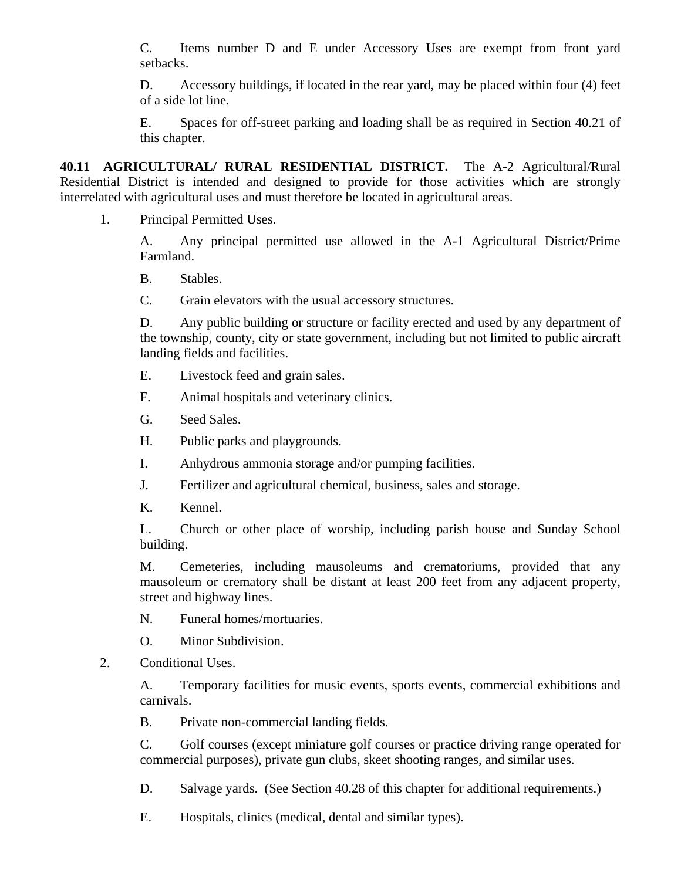C. Items number D and E under Accessory Uses are exempt from front yard setbacks.

D. Accessory buildings, if located in the rear yard, may be placed within four (4) feet of a side lot line.

E. Spaces for off-street parking and loading shall be as required in Section 40.21 of this chapter.

**40.11 AGRICULTURAL/ RURAL RESIDENTIAL DISTRICT.** The A-2 Agricultural/Rural Residential District is intended and designed to provide for those activities which are strongly interrelated with agricultural uses and must therefore be located in agricultural areas.

1. Principal Permitted Uses.

A. Any principal permitted use allowed in the A-1 Agricultural District/Prime Farmland.

B. Stables.

C. Grain elevators with the usual accessory structures.

D. Any public building or structure or facility erected and used by any department of the township, county, city or state government, including but not limited to public aircraft landing fields and facilities.

- E. Livestock feed and grain sales.
- F. Animal hospitals and veterinary clinics.
- G. Seed Sales.
- H. Public parks and playgrounds.
- I. Anhydrous ammonia storage and/or pumping facilities.
- J. Fertilizer and agricultural chemical, business, sales and storage.
- K. Kennel.

L. Church or other place of worship, including parish house and Sunday School building.

M. Cemeteries, including mausoleums and crematoriums, provided that any mausoleum or crematory shall be distant at least 200 feet from any adjacent property, street and highway lines.

N. Funeral homes/mortuaries.

O. Minor Subdivision.

2. Conditional Uses.

A. Temporary facilities for music events, sports events, commercial exhibitions and carnivals.

B. Private non-commercial landing fields.

C. Golf courses (except miniature golf courses or practice driving range operated for commercial purposes), private gun clubs, skeet shooting ranges, and similar uses.

D. Salvage yards. (See Section 40.28 of this chapter for additional requirements.)

E. Hospitals, clinics (medical, dental and similar types).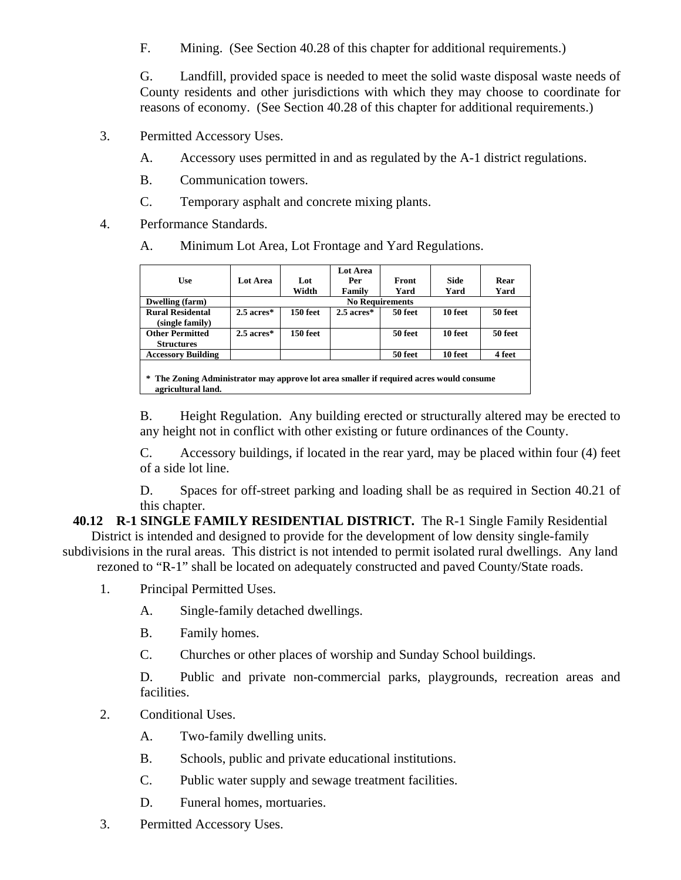F. Mining. (See Section 40.28 of this chapter for additional requirements.)

G. Landfill, provided space is needed to meet the solid waste disposal waste needs of County residents and other jurisdictions with which they may choose to coordinate for reasons of economy. (See Section 40.28 of this chapter for additional requirements.)

- 3. Permitted Accessory Uses.
	- A. Accessory uses permitted in and as regulated by the A-1 district regulations.
	- B. Communication towers.
	- C. Temporary asphalt and concrete mixing plants.
- 4. Performance Standards.
	- A. Minimum Lot Area, Lot Frontage and Yard Regulations.

| <b>Use</b>                                  | <b>Lot Area</b> | Lot                    | Lot Area<br>Per | Front   | Side    | Rear    |  |  |
|---------------------------------------------|-----------------|------------------------|-----------------|---------|---------|---------|--|--|
|                                             |                 | Width                  | Family          | Yard    | Yard    | Yard    |  |  |
| Dwelling (farm)                             |                 | <b>No Requirements</b> |                 |         |         |         |  |  |
| <b>Rural Residental</b>                     | $2.5$ acres $*$ | 150 feet               | $2.5$ acres*    | 50 feet | 10 feet | 50 feet |  |  |
| (single family)                             |                 |                        |                 |         |         |         |  |  |
| <b>Other Permitted</b><br><b>Structures</b> | $2.5$ acres $*$ | 150 feet               |                 | 50 feet | 10 feet | 50 feet |  |  |
| <b>Accessory Building</b>                   |                 |                        |                 | 50 feet | 10 feet | 4 feet  |  |  |
|                                             |                 |                        |                 |         |         |         |  |  |

**\* The Zoning Administrator may approve lot area smaller if required acres would consume agricultural land.** 

B. Height Regulation. Any building erected or structurally altered may be erected to any height not in conflict with other existing or future ordinances of the County.

C. Accessory buildings, if located in the rear yard, may be placed within four (4) feet of a side lot line.

D. Spaces for off-street parking and loading shall be as required in Section 40.21 of this chapter.

**40.12 R-1 SINGLE FAMILY RESIDENTIAL DISTRICT.** The R-1 Single Family Residential District is intended and designed to provide for the development of low density single-family subdivisions in the rural areas. This district is not intended to permit isolated rural dwellings. Any land

rezoned to "R-1" shall be located on adequately constructed and paved County/State roads.

- 1. Principal Permitted Uses.
	- A. Single-family detached dwellings.
	- B. Family homes.
	- C. Churches or other places of worship and Sunday School buildings.

D. Public and private non-commercial parks, playgrounds, recreation areas and facilities.

- 2. Conditional Uses.
	- A. Two-family dwelling units.
	- B. Schools, public and private educational institutions.
	- C. Public water supply and sewage treatment facilities.
	- D. Funeral homes, mortuaries.
- 3. Permitted Accessory Uses.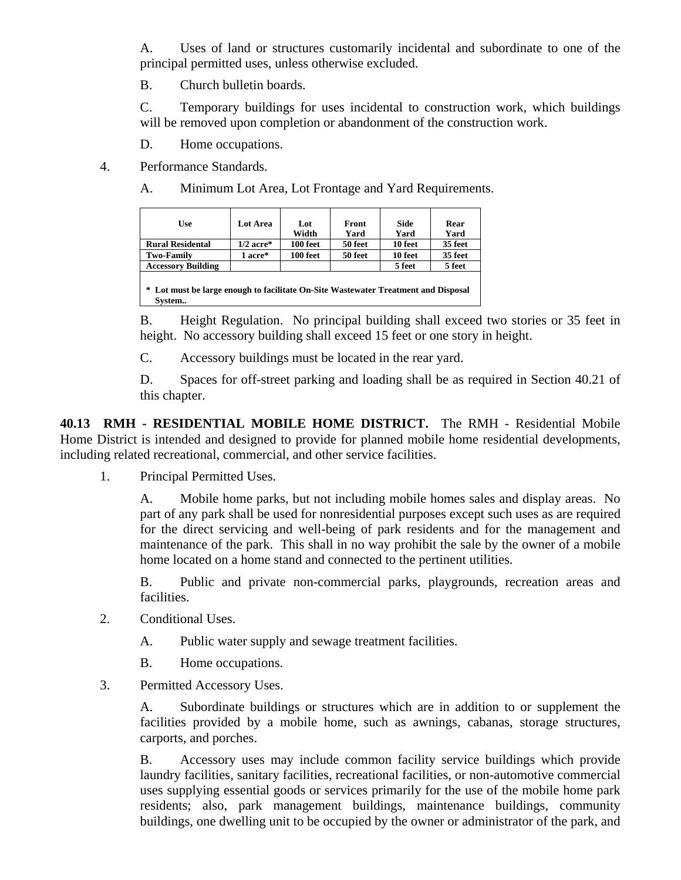A. Uses of land or structures customarily incidental and subordinate to one of the principal permitted uses, unless otherwise excluded.

B. Church bulletin boards.

C. Temporary buildings for uses incidental to construction work, which buildings will be removed upon completion or abandonment of the construction work.

D. Home occupations.

4. Performance Standards.

A. Minimum Lot Area, Lot Frontage and Yard Requirements.

| <b>Use</b>                                                                                   | Lot Area    | Lot<br>Width | Front<br>Yard | Side<br>Yard | Rear<br>Yard |  |  |  |  |
|----------------------------------------------------------------------------------------------|-------------|--------------|---------------|--------------|--------------|--|--|--|--|
| <b>Rural Residental</b>                                                                      | $1/2$ acre* | 100 feet     | 50 feet       | 10 feet      | 35 feet      |  |  |  |  |
| <b>Two-Family</b>                                                                            | 1 acre*     | 100 feet     | 50 feet       | 10 feet      | 35 feet      |  |  |  |  |
| <b>Accessory Building</b>                                                                    |             |              |               | 5 feet       | 5 feet       |  |  |  |  |
| * Lot must be large enough to facilitate On-Site Wastewater Treatment and Disposal<br>System |             |              |               |              |              |  |  |  |  |

B. Height Regulation. No principal building shall exceed two stories or 35 feet in height. No accessory building shall exceed 15 feet or one story in height.

C. Accessory buildings must be located in the rear yard.

D. Spaces for off-street parking and loading shall be as required in Section 40.21 of this chapter.

**40.13 RMH - RESIDENTIAL MOBILE HOME DISTRICT.** The RMH - Residential Mobile Home District is intended and designed to provide for planned mobile home residential developments, including related recreational, commercial, and other service facilities.

1. Principal Permitted Uses.

A. Mobile home parks, but not including mobile homes sales and display areas. No part of any park shall be used for nonresidential purposes except such uses as are required for the direct servicing and well-being of park residents and for the management and maintenance of the park. This shall in no way prohibit the sale by the owner of a mobile home located on a home stand and connected to the pertinent utilities.

B. Public and private non-commercial parks, playgrounds, recreation areas and facilities.

- 2. Conditional Uses.
	- A. Public water supply and sewage treatment facilities.
	- B. Home occupations.
- 3. Permitted Accessory Uses.

A. Subordinate buildings or structures which are in addition to or supplement the facilities provided by a mobile home, such as awnings, cabanas, storage structures, carports, and porches.

B. Accessory uses may include common facility service buildings which provide laundry facilities, sanitary facilities, recreational facilities, or non-automotive commercial uses supplying essential goods or services primarily for the use of the mobile home park residents; also, park management buildings, maintenance buildings, community buildings, one dwelling unit to be occupied by the owner or administrator of the park, and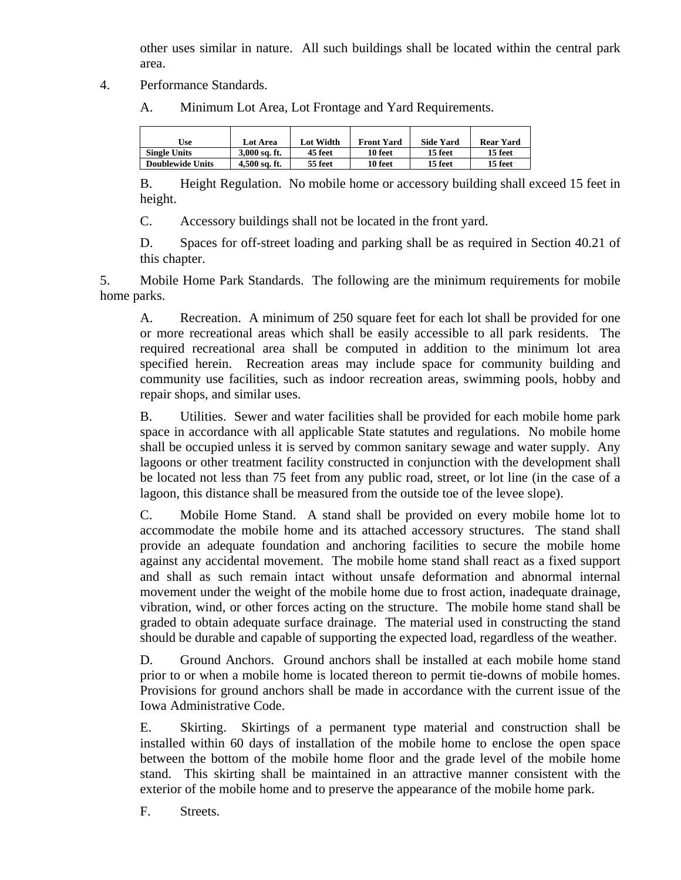other uses similar in nature. All such buildings shall be located within the central park area.

- 4. Performance Standards.
	- A. Minimum Lot Area, Lot Frontage and Yard Requirements.

| [Jse                    | <b>Lot Area</b> | <b>Lot Width</b> | <b>Front Yard</b> | <b>Side Yard</b> | <b>Rear Yard</b> |
|-------------------------|-----------------|------------------|-------------------|------------------|------------------|
| <b>Single Units</b>     | $3,000$ sq. ft. | 45 feet          | 10 feet           | 15 feet          | 15 feet          |
| <b>Doublewide Units</b> | 4.500 sq. ft.   | 55 feet          | 10 feet           | 15 feet          | 15 feet          |

B. Height Regulation. No mobile home or accessory building shall exceed 15 feet in height.

C. Accessory buildings shall not be located in the front yard.

D. Spaces for off-street loading and parking shall be as required in Section 40.21 of this chapter.

5. Mobile Home Park Standards. The following are the minimum requirements for mobile home parks.

A. Recreation. A minimum of 250 square feet for each lot shall be provided for one or more recreational areas which shall be easily accessible to all park residents. The required recreational area shall be computed in addition to the minimum lot area specified herein. Recreation areas may include space for community building and community use facilities, such as indoor recreation areas, swimming pools, hobby and repair shops, and similar uses.

B. Utilities. Sewer and water facilities shall be provided for each mobile home park space in accordance with all applicable State statutes and regulations. No mobile home shall be occupied unless it is served by common sanitary sewage and water supply. Any lagoons or other treatment facility constructed in conjunction with the development shall be located not less than 75 feet from any public road, street, or lot line (in the case of a lagoon, this distance shall be measured from the outside toe of the levee slope).

C. Mobile Home Stand. A stand shall be provided on every mobile home lot to accommodate the mobile home and its attached accessory structures. The stand shall provide an adequate foundation and anchoring facilities to secure the mobile home against any accidental movement. The mobile home stand shall react as a fixed support and shall as such remain intact without unsafe deformation and abnormal internal movement under the weight of the mobile home due to frost action, inadequate drainage, vibration, wind, or other forces acting on the structure. The mobile home stand shall be graded to obtain adequate surface drainage. The material used in constructing the stand should be durable and capable of supporting the expected load, regardless of the weather.

D. Ground Anchors. Ground anchors shall be installed at each mobile home stand prior to or when a mobile home is located thereon to permit tie-downs of mobile homes. Provisions for ground anchors shall be made in accordance with the current issue of the Iowa Administrative Code.

E. Skirting. Skirtings of a permanent type material and construction shall be installed within 60 days of installation of the mobile home to enclose the open space between the bottom of the mobile home floor and the grade level of the mobile home stand. This skirting shall be maintained in an attractive manner consistent with the exterior of the mobile home and to preserve the appearance of the mobile home park.

F. Streets.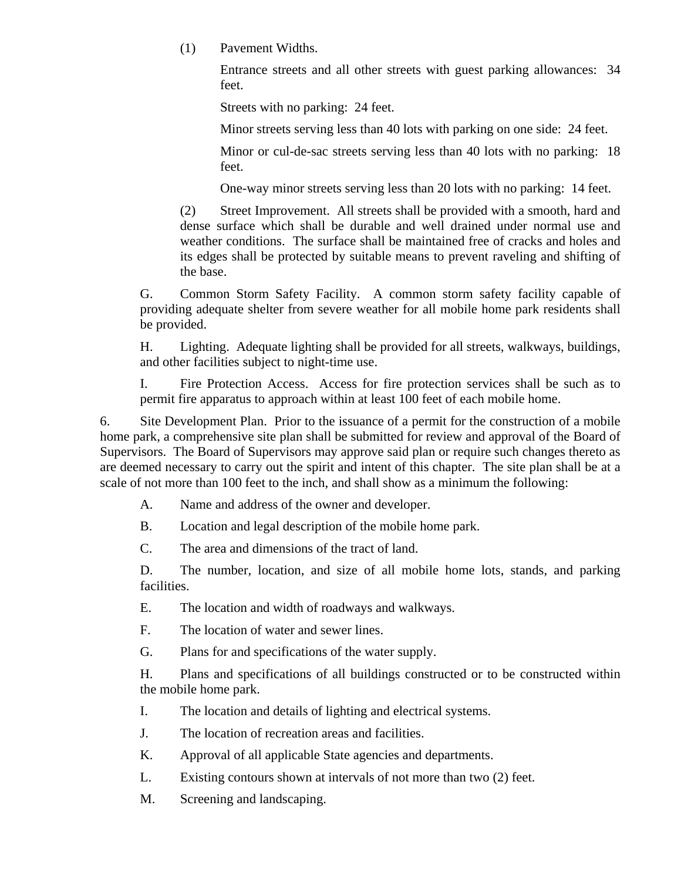(1) Pavement Widths.

Entrance streets and all other streets with guest parking allowances: 34 feet.

Streets with no parking: 24 feet.

Minor streets serving less than 40 lots with parking on one side: 24 feet.

Minor or cul-de-sac streets serving less than 40 lots with no parking: 18 feet.

One-way minor streets serving less than 20 lots with no parking: 14 feet.

(2) Street Improvement. All streets shall be provided with a smooth, hard and dense surface which shall be durable and well drained under normal use and weather conditions. The surface shall be maintained free of cracks and holes and its edges shall be protected by suitable means to prevent raveling and shifting of the base.

G. Common Storm Safety Facility. A common storm safety facility capable of providing adequate shelter from severe weather for all mobile home park residents shall be provided.

H. Lighting. Adequate lighting shall be provided for all streets, walkways, buildings, and other facilities subject to night-time use.

I. Fire Protection Access. Access for fire protection services shall be such as to permit fire apparatus to approach within at least 100 feet of each mobile home.

6. Site Development Plan. Prior to the issuance of a permit for the construction of a mobile home park, a comprehensive site plan shall be submitted for review and approval of the Board of Supervisors. The Board of Supervisors may approve said plan or require such changes thereto as are deemed necessary to carry out the spirit and intent of this chapter. The site plan shall be at a scale of not more than 100 feet to the inch, and shall show as a minimum the following:

A. Name and address of the owner and developer.

B. Location and legal description of the mobile home park.

C. The area and dimensions of the tract of land.

D. The number, location, and size of all mobile home lots, stands, and parking facilities.

E. The location and width of roadways and walkways.

F. The location of water and sewer lines.

G. Plans for and specifications of the water supply.

H. Plans and specifications of all buildings constructed or to be constructed within the mobile home park.

I. The location and details of lighting and electrical systems.

- J. The location of recreation areas and facilities.
- K. Approval of all applicable State agencies and departments.
- L. Existing contours shown at intervals of not more than two (2) feet.
- M. Screening and landscaping.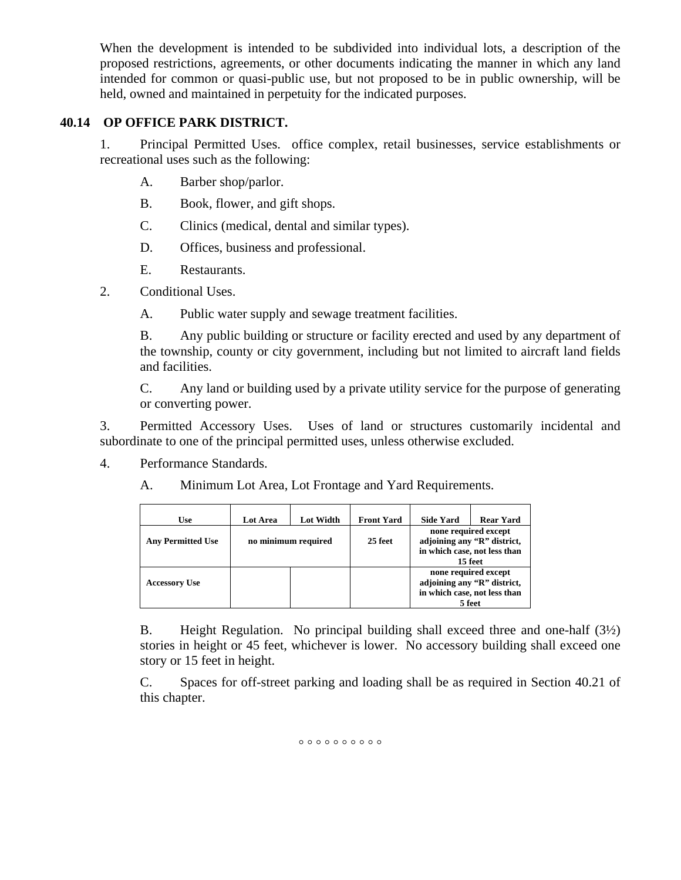When the development is intended to be subdivided into individual lots, a description of the proposed restrictions, agreements, or other documents indicating the manner in which any land intended for common or quasi-public use, but not proposed to be in public ownership, will be held, owned and maintained in perpetuity for the indicated purposes.

# **40.14 OP OFFICE PARK DISTRICT.**

1. Principal Permitted Uses. office complex, retail businesses, service establishments or recreational uses such as the following:

- A. Barber shop/parlor.
- B. Book, flower, and gift shops.
- C. Clinics (medical, dental and similar types).
- D. Offices, business and professional.
- E. Restaurants.
- 2. Conditional Uses.

A. Public water supply and sewage treatment facilities.

B. Any public building or structure or facility erected and used by any department of the township, county or city government, including but not limited to aircraft land fields and facilities.

C. Any land or building used by a private utility service for the purpose of generating or converting power.

3. Permitted Accessory Uses. Uses of land or structures customarily incidental and subordinate to one of the principal permitted uses, unless otherwise excluded.

- 4. Performance Standards.
	- A. Minimum Lot Area, Lot Frontage and Yard Requirements.

| Use                      | Lot Area | Lot Width           | <b>Front Yard</b> | <b>Side Yard</b>                                                                               | <b>Rear Yard</b> |  |
|--------------------------|----------|---------------------|-------------------|------------------------------------------------------------------------------------------------|------------------|--|
| <b>Any Permitted Use</b> |          | no minimum required | 25 feet           | none required except<br>adjoining any "R" district,<br>in which case, not less than<br>15 feet |                  |  |
| <b>Accessory Use</b>     |          |                     |                   | none required except<br>adjoining any "R" district,<br>in which case, not less than<br>5 feet  |                  |  |

B. Height Regulation. No principal building shall exceed three and one-half (3½) stories in height or 45 feet, whichever is lower. No accessory building shall exceed one story or 15 feet in height.

C. Spaces for off-street parking and loading shall be as required in Section 40.21 of this chapter.

 $^{\circ}$   $^{\circ}$   $^{\circ}$   $^{\circ}$   $^{\circ}$   $^{\circ}$   $^{\circ}$   $^{\circ}$   $^{\circ}$   $^{\circ}$   $^{\circ}$   $^{\circ}$   $^{\circ}$   $^{\circ}$   $^{\circ}$   $^{\circ}$   $^{\circ}$   $^{\circ}$   $^{\circ}$   $^{\circ}$   $^{\circ}$   $^{\circ}$   $^{\circ}$   $^{\circ}$   $^{\circ}$   $^{\circ}$   $^{\circ}$   $^{\circ}$   $^{\circ}$   $^{\circ}$   $^{\circ}$   $^{\circ$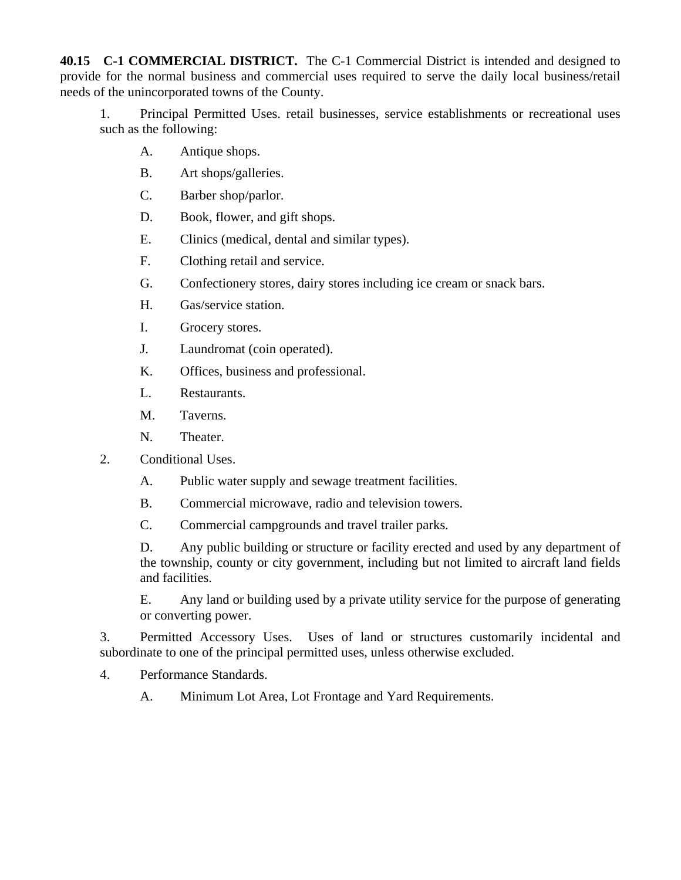**40.15 C-1 COMMERCIAL DISTRICT.** The C-1 Commercial District is intended and designed to provide for the normal business and commercial uses required to serve the daily local business/retail needs of the unincorporated towns of the County.

1. Principal Permitted Uses. retail businesses, service establishments or recreational uses such as the following:

- A. Antique shops.
- B. Art shops/galleries.
- C. Barber shop/parlor.
- D. Book, flower, and gift shops.
- E. Clinics (medical, dental and similar types).
- F. Clothing retail and service.
- G. Confectionery stores, dairy stores including ice cream or snack bars.
- H. Gas/service station.
- I. Grocery stores.
- J. Laundromat (coin operated).
- K. Offices, business and professional.
- L. Restaurants.
- M. Taverns.
- N. Theater.
- 2. Conditional Uses.
	- A. Public water supply and sewage treatment facilities.
	- B. Commercial microwave, radio and television towers.
	- C. Commercial campgrounds and travel trailer parks.

D. Any public building or structure or facility erected and used by any department of the township, county or city government, including but not limited to aircraft land fields and facilities.

E. Any land or building used by a private utility service for the purpose of generating or converting power.

3. Permitted Accessory Uses. Uses of land or structures customarily incidental and subordinate to one of the principal permitted uses, unless otherwise excluded.

- 4. Performance Standards.
	- A. Minimum Lot Area, Lot Frontage and Yard Requirements.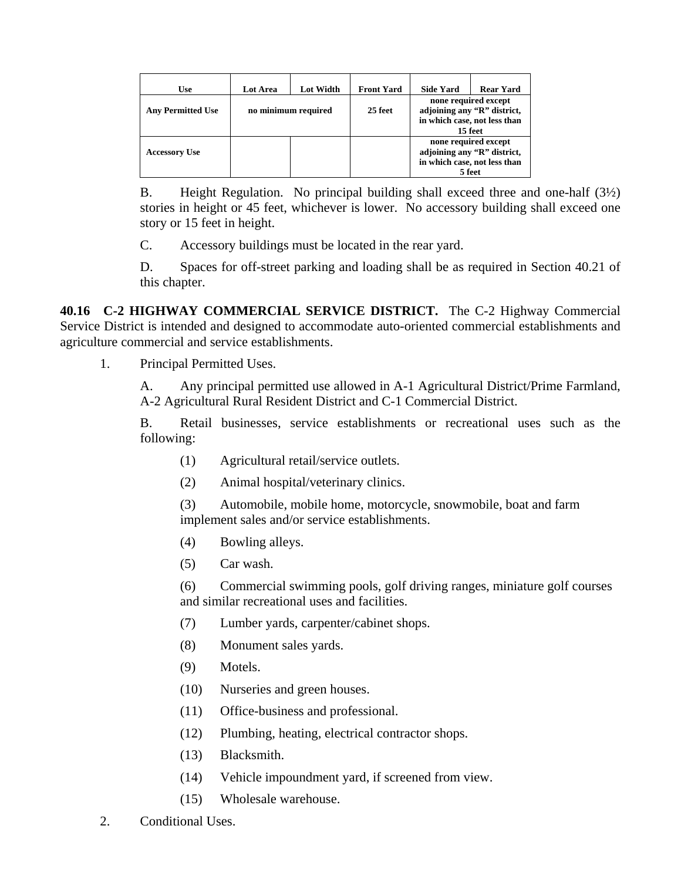| Use                      | Lot Area | <b>Lot Width</b>               | <b>Front Yard</b> | <b>Side Yard</b>                                                                              | <b>Rear Yard</b>                                                                               |
|--------------------------|----------|--------------------------------|-------------------|-----------------------------------------------------------------------------------------------|------------------------------------------------------------------------------------------------|
| <b>Any Permitted Use</b> |          | no minimum required<br>25 feet |                   |                                                                                               | none required except<br>adjoining any "R" district,<br>in which case, not less than<br>15 feet |
| <b>Accessory Use</b>     |          |                                |                   | none required except<br>adjoining any "R" district,<br>in which case, not less than<br>5 feet |                                                                                                |

B. Height Regulation. No principal building shall exceed three and one-half (3½) stories in height or 45 feet, whichever is lower. No accessory building shall exceed one story or 15 feet in height.

C. Accessory buildings must be located in the rear yard.

D. Spaces for off-street parking and loading shall be as required in Section 40.21 of this chapter.

**40.16 C-2 HIGHWAY COMMERCIAL SERVICE DISTRICT.** The C-2 Highway Commercial Service District is intended and designed to accommodate auto-oriented commercial establishments and agriculture commercial and service establishments.

1. Principal Permitted Uses.

A. Any principal permitted use allowed in A-1 Agricultural District/Prime Farmland, A-2 Agricultural Rural Resident District and C-1 Commercial District.

B. Retail businesses, service establishments or recreational uses such as the following:

- (1) Agricultural retail/service outlets.
- (2) Animal hospital/veterinary clinics.

(3) Automobile, mobile home, motorcycle, snowmobile, boat and farm implement sales and/or service establishments.

- (4) Bowling alleys.
- (5) Car wash.

(6) Commercial swimming pools, golf driving ranges, miniature golf courses and similar recreational uses and facilities.

- (7) Lumber yards, carpenter/cabinet shops.
- (8) Monument sales yards.
- (9) Motels.
- (10) Nurseries and green houses.
- (11) Office-business and professional.
- (12) Plumbing, heating, electrical contractor shops.
- (13) Blacksmith.
- (14) Vehicle impoundment yard, if screened from view.
- (15) Wholesale warehouse.
- 2. Conditional Uses.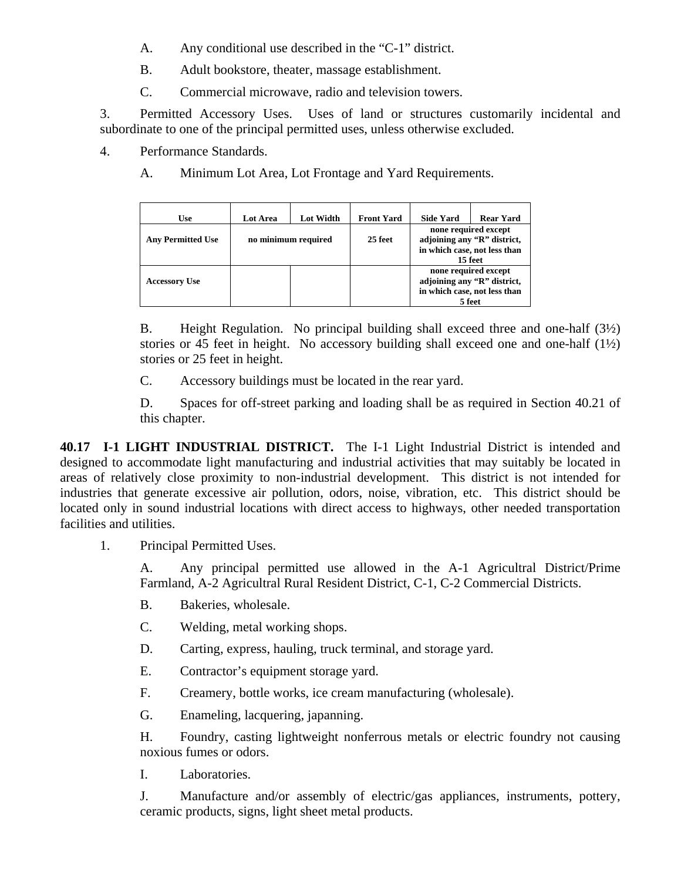- A. Any conditional use described in the "C-1" district.
- B. Adult bookstore, theater, massage establishment.
- C. Commercial microwave, radio and television towers.

3. Permitted Accessory Uses. Uses of land or structures customarily incidental and subordinate to one of the principal permitted uses, unless otherwise excluded.

4. Performance Standards.

A. Minimum Lot Area, Lot Frontage and Yard Requirements.

| Use                      | Lot Area | <b>Lot Width</b>               | <b>Front Yard</b> | <b>Side Yard</b>                                                                               | <b>Rear Yard</b> |
|--------------------------|----------|--------------------------------|-------------------|------------------------------------------------------------------------------------------------|------------------|
| <b>Any Permitted Use</b> |          | no minimum required<br>25 feet |                   | none required except<br>adjoining any "R" district,<br>in which case, not less than<br>15 feet |                  |
| <b>Accessory Use</b>     |          |                                |                   | none required except<br>adjoining any "R" district,<br>in which case, not less than<br>5 feet  |                  |

B. Height Regulation. No principal building shall exceed three and one-half (3½) stories or 45 feet in height. No accessory building shall exceed one and one-half  $(1\frac{1}{2})$ stories or 25 feet in height.

C. Accessory buildings must be located in the rear yard.

D. Spaces for off-street parking and loading shall be as required in Section 40.21 of this chapter.

**40.17 I-1 LIGHT INDUSTRIAL DISTRICT.** The I-1 Light Industrial District is intended and designed to accommodate light manufacturing and industrial activities that may suitably be located in areas of relatively close proximity to non-industrial development. This district is not intended for industries that generate excessive air pollution, odors, noise, vibration, etc. This district should be located only in sound industrial locations with direct access to highways, other needed transportation facilities and utilities.

1. Principal Permitted Uses.

A. Any principal permitted use allowed in the A-1 Agricultral District/Prime Farmland, A-2 Agricultral Rural Resident District, C-1, C-2 Commercial Districts.

- B. Bakeries, wholesale.
- C. Welding, metal working shops.
- D. Carting, express, hauling, truck terminal, and storage yard.
- E. Contractor's equipment storage yard.
- F. Creamery, bottle works, ice cream manufacturing (wholesale).
- G. Enameling, lacquering, japanning.

H. Foundry, casting lightweight nonferrous metals or electric foundry not causing noxious fumes or odors.

I. Laboratories.

J. Manufacture and/or assembly of electric/gas appliances, instruments, pottery, ceramic products, signs, light sheet metal products.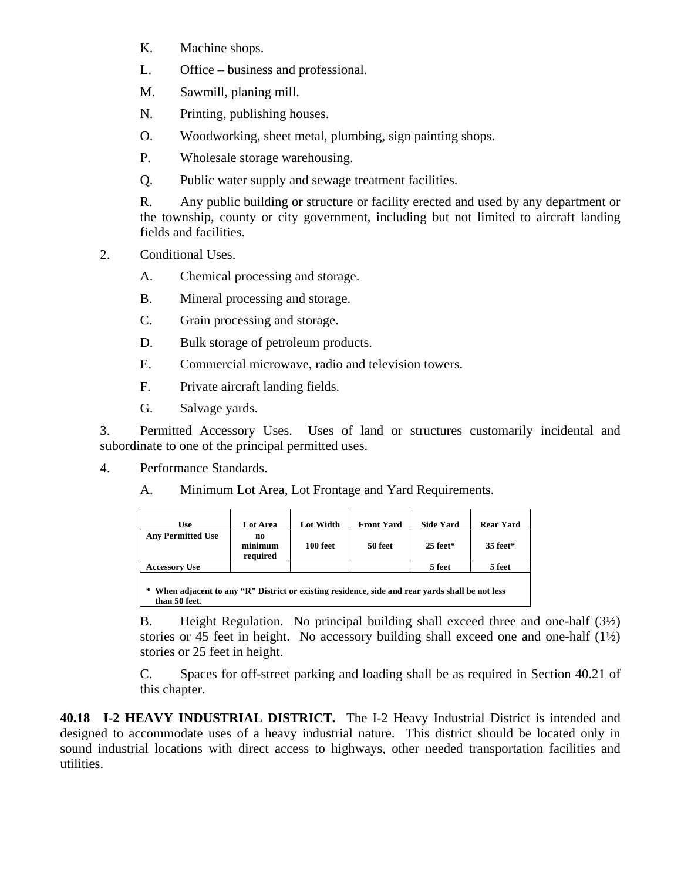- K. Machine shops.
- L. Office business and professional.
- M. Sawmill, planing mill.
- N. Printing, publishing houses.
- O. Woodworking, sheet metal, plumbing, sign painting shops.
- P. Wholesale storage warehousing.
- Q. Public water supply and sewage treatment facilities.

R. Any public building or structure or facility erected and used by any department or the township, county or city government, including but not limited to aircraft landing fields and facilities.

2. Conditional Uses.

A. Chemical processing and storage.

- B. Mineral processing and storage.
- C. Grain processing and storage.
- D. Bulk storage of petroleum products.
- E. Commercial microwave, radio and television towers.
- F. Private aircraft landing fields.
- G. Salvage yards.

3. Permitted Accessory Uses. Uses of land or structures customarily incidental and subordinate to one of the principal permitted uses.

- 4. Performance Standards.
	- A. Minimum Lot Area, Lot Frontage and Yard Requirements.

| Use                      | Lot Area                                                                                       | Lot Width | <b>Front Yard</b> | <b>Side Yard</b> | <b>Rear Yard</b> |  |  |  |  |  |
|--------------------------|------------------------------------------------------------------------------------------------|-----------|-------------------|------------------|------------------|--|--|--|--|--|
| <b>Any Permitted Use</b> | no<br>minimum<br>required                                                                      | 100 feet  | 50 feet           | $25$ feet*       | $35$ feet*       |  |  |  |  |  |
| <b>Accessory Use</b>     |                                                                                                |           |                   | 5 feet           | 5 feet           |  |  |  |  |  |
| *<br>than 50 feet.       | When adjacent to any "R" District or existing residence, side and rear vards shall be not less |           |                   |                  |                  |  |  |  |  |  |

B. Height Regulation. No principal building shall exceed three and one-half (3½) stories or 45 feet in height. No accessory building shall exceed one and one-half  $(1\frac{1}{2})$ stories or 25 feet in height.

C. Spaces for off-street parking and loading shall be as required in Section 40.21 of this chapter.

**40.18 I-2 HEAVY INDUSTRIAL DISTRICT.** The I-2 Heavy Industrial District is intended and designed to accommodate uses of a heavy industrial nature. This district should be located only in sound industrial locations with direct access to highways, other needed transportation facilities and utilities.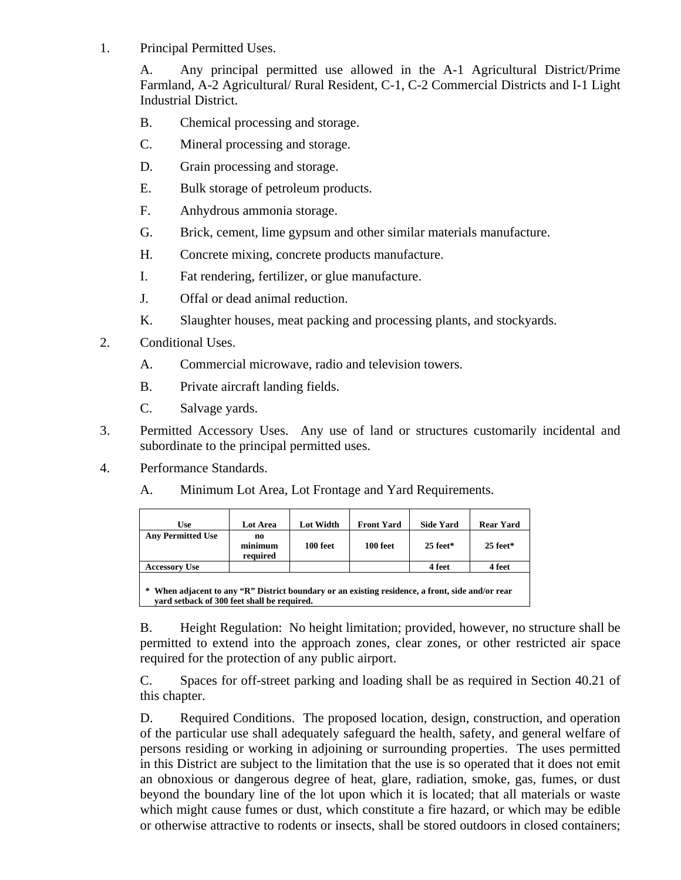1. Principal Permitted Uses.

A. Any principal permitted use allowed in the A-1 Agricultural District/Prime Farmland, A-2 Agricultural/ Rural Resident, C-1, C-2 Commercial Districts and I-1 Light Industrial District.

- B. Chemical processing and storage.
- C. Mineral processing and storage.
- D. Grain processing and storage.
- E. Bulk storage of petroleum products.
- F. Anhydrous ammonia storage.
- G. Brick, cement, lime gypsum and other similar materials manufacture.
- H. Concrete mixing, concrete products manufacture.
- I. Fat rendering, fertilizer, or glue manufacture.
- J. Offal or dead animal reduction.
- K. Slaughter houses, meat packing and processing plants, and stockyards.
- 2. Conditional Uses.
	- A. Commercial microwave, radio and television towers.
	- B. Private aircraft landing fields.
	- C. Salvage yards.
- 3. Permitted Accessory Uses. Any use of land or structures customarily incidental and subordinate to the principal permitted uses.
- 4. Performance Standards.
	- A. Minimum Lot Area, Lot Frontage and Yard Requirements.

| Use                                                                                                                                             | <b>Lot Area</b>           | Lot Width | <b>Front Yard</b> | <b>Side Yard</b> | <b>Rear Yard</b> |  |  |  |  |
|-------------------------------------------------------------------------------------------------------------------------------------------------|---------------------------|-----------|-------------------|------------------|------------------|--|--|--|--|
| <b>Any Permitted Use</b>                                                                                                                        | no<br>minimum<br>required | 100 feet  | 100 feet          | $25$ feet*       | $25$ feet*       |  |  |  |  |
| <b>Accessory Use</b>                                                                                                                            |                           |           |                   | 4 feet           | 4 feet           |  |  |  |  |
| * When adjacent to any "R" District boundary or an existing residence, a front, side and/or rear<br>vard setback of 300 feet shall be required. |                           |           |                   |                  |                  |  |  |  |  |

B. Height Regulation: No height limitation; provided, however, no structure shall be permitted to extend into the approach zones, clear zones, or other restricted air space required for the protection of any public airport.

C. Spaces for off-street parking and loading shall be as required in Section 40.21 of this chapter.

D. Required Conditions. The proposed location, design, construction, and operation of the particular use shall adequately safeguard the health, safety, and general welfare of persons residing or working in adjoining or surrounding properties. The uses permitted in this District are subject to the limitation that the use is so operated that it does not emit an obnoxious or dangerous degree of heat, glare, radiation, smoke, gas, fumes, or dust beyond the boundary line of the lot upon which it is located; that all materials or waste which might cause fumes or dust, which constitute a fire hazard, or which may be edible or otherwise attractive to rodents or insects, shall be stored outdoors in closed containers;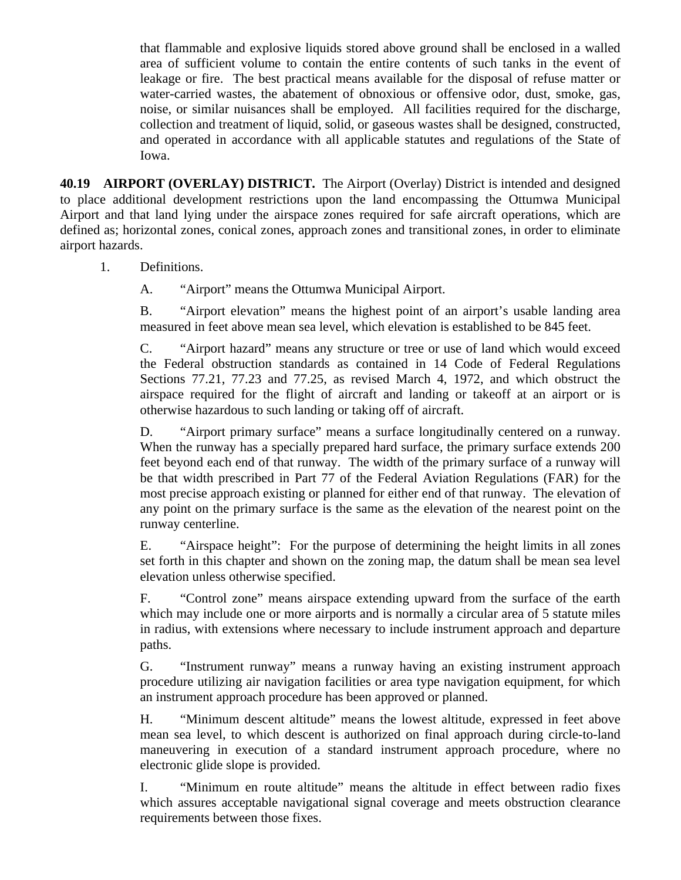that flammable and explosive liquids stored above ground shall be enclosed in a walled area of sufficient volume to contain the entire contents of such tanks in the event of leakage or fire. The best practical means available for the disposal of refuse matter or water-carried wastes, the abatement of obnoxious or offensive odor, dust, smoke, gas, noise, or similar nuisances shall be employed. All facilities required for the discharge, collection and treatment of liquid, solid, or gaseous wastes shall be designed, constructed, and operated in accordance with all applicable statutes and regulations of the State of Iowa.

**40.19 AIRPORT (OVERLAY) DISTRICT.** The Airport (Overlay) District is intended and designed to place additional development restrictions upon the land encompassing the Ottumwa Municipal Airport and that land lying under the airspace zones required for safe aircraft operations, which are defined as; horizontal zones, conical zones, approach zones and transitional zones, in order to eliminate airport hazards.

1. Definitions.

A. "Airport" means the Ottumwa Municipal Airport.

B. "Airport elevation" means the highest point of an airport's usable landing area measured in feet above mean sea level, which elevation is established to be 845 feet.

C. "Airport hazard" means any structure or tree or use of land which would exceed the Federal obstruction standards as contained in 14 Code of Federal Regulations Sections 77.21, 77.23 and 77.25, as revised March 4, 1972, and which obstruct the airspace required for the flight of aircraft and landing or takeoff at an airport or is otherwise hazardous to such landing or taking off of aircraft.

D. "Airport primary surface" means a surface longitudinally centered on a runway. When the runway has a specially prepared hard surface, the primary surface extends 200 feet beyond each end of that runway. The width of the primary surface of a runway will be that width prescribed in Part 77 of the Federal Aviation Regulations (FAR) for the most precise approach existing or planned for either end of that runway. The elevation of any point on the primary surface is the same as the elevation of the nearest point on the runway centerline.

E. "Airspace height": For the purpose of determining the height limits in all zones set forth in this chapter and shown on the zoning map, the datum shall be mean sea level elevation unless otherwise specified.

F. "Control zone" means airspace extending upward from the surface of the earth which may include one or more airports and is normally a circular area of 5 statute miles in radius, with extensions where necessary to include instrument approach and departure paths.

G. "Instrument runway" means a runway having an existing instrument approach procedure utilizing air navigation facilities or area type navigation equipment, for which an instrument approach procedure has been approved or planned.

H. "Minimum descent altitude" means the lowest altitude, expressed in feet above mean sea level, to which descent is authorized on final approach during circle-to-land maneuvering in execution of a standard instrument approach procedure, where no electronic glide slope is provided.

I. "Minimum en route altitude" means the altitude in effect between radio fixes which assures acceptable navigational signal coverage and meets obstruction clearance requirements between those fixes.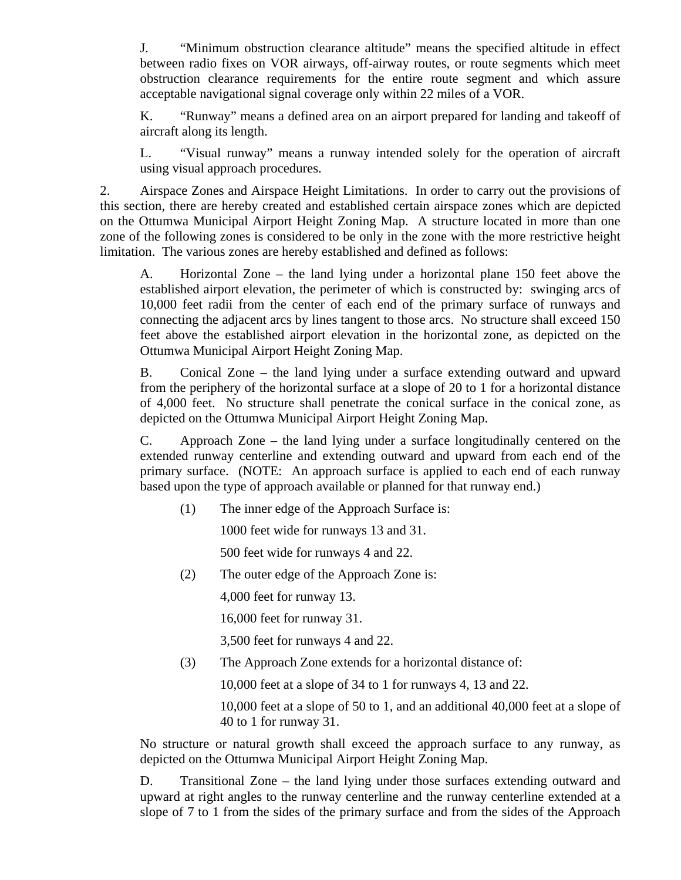J. "Minimum obstruction clearance altitude" means the specified altitude in effect between radio fixes on VOR airways, off-airway routes, or route segments which meet obstruction clearance requirements for the entire route segment and which assure acceptable navigational signal coverage only within 22 miles of a VOR.

K. "Runway" means a defined area on an airport prepared for landing and takeoff of aircraft along its length.

L. "Visual runway" means a runway intended solely for the operation of aircraft using visual approach procedures.

2. Airspace Zones and Airspace Height Limitations. In order to carry out the provisions of this section, there are hereby created and established certain airspace zones which are depicted on the Ottumwa Municipal Airport Height Zoning Map. A structure located in more than one zone of the following zones is considered to be only in the zone with the more restrictive height limitation. The various zones are hereby established and defined as follows:

A. Horizontal Zone – the land lying under a horizontal plane 150 feet above the established airport elevation, the perimeter of which is constructed by: swinging arcs of 10,000 feet radii from the center of each end of the primary surface of runways and connecting the adjacent arcs by lines tangent to those arcs. No structure shall exceed 150 feet above the established airport elevation in the horizontal zone, as depicted on the Ottumwa Municipal Airport Height Zoning Map.

B. Conical Zone – the land lying under a surface extending outward and upward from the periphery of the horizontal surface at a slope of 20 to 1 for a horizontal distance of 4,000 feet. No structure shall penetrate the conical surface in the conical zone, as depicted on the Ottumwa Municipal Airport Height Zoning Map.

C. Approach Zone – the land lying under a surface longitudinally centered on the extended runway centerline and extending outward and upward from each end of the primary surface. (NOTE: An approach surface is applied to each end of each runway based upon the type of approach available or planned for that runway end.)

(1) The inner edge of the Approach Surface is:

1000 feet wide for runways 13 and 31.

500 feet wide for runways 4 and 22.

(2) The outer edge of the Approach Zone is:

4,000 feet for runway 13.

16,000 feet for runway 31.

3,500 feet for runways 4 and 22.

(3) The Approach Zone extends for a horizontal distance of:

10,000 feet at a slope of 34 to 1 for runways 4, 13 and 22.

10,000 feet at a slope of 50 to 1, and an additional 40,000 feet at a slope of 40 to 1 for runway 31.

No structure or natural growth shall exceed the approach surface to any runway, as depicted on the Ottumwa Municipal Airport Height Zoning Map.

D. Transitional Zone – the land lying under those surfaces extending outward and upward at right angles to the runway centerline and the runway centerline extended at a slope of 7 to 1 from the sides of the primary surface and from the sides of the Approach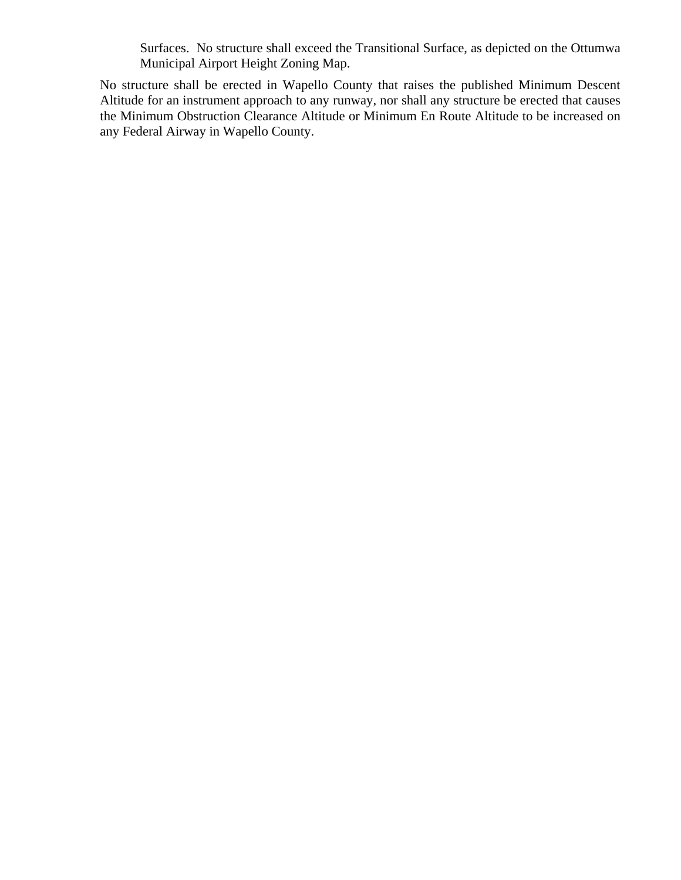Surfaces. No structure shall exceed the Transitional Surface, as depicted on the Ottumwa Municipal Airport Height Zoning Map.

No structure shall be erected in Wapello County that raises the published Minimum Descent Altitude for an instrument approach to any runway, nor shall any structure be erected that causes the Minimum Obstruction Clearance Altitude or Minimum En Route Altitude to be increased on any Federal Airway in Wapello County.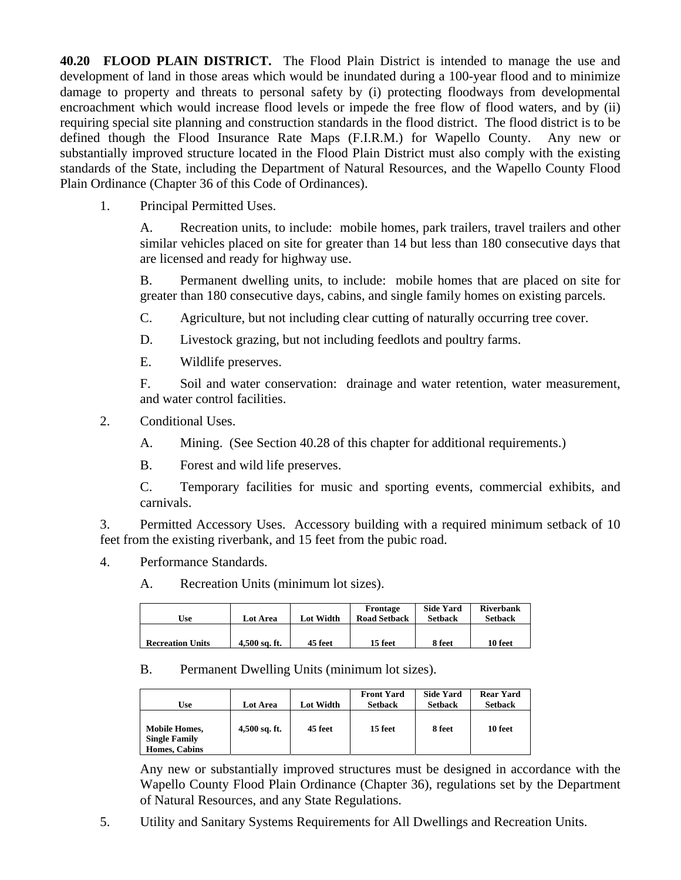**40.20 FLOOD PLAIN DISTRICT.** The Flood Plain District is intended to manage the use and development of land in those areas which would be inundated during a 100-year flood and to minimize damage to property and threats to personal safety by (i) protecting floodways from developmental encroachment which would increase flood levels or impede the free flow of flood waters, and by (ii) requiring special site planning and construction standards in the flood district. The flood district is to be defined though the Flood Insurance Rate Maps (F.I.R.M.) for Wapello County. Any new or substantially improved structure located in the Flood Plain District must also comply with the existing standards of the State, including the Department of Natural Resources, and the Wapello County Flood Plain Ordinance (Chapter 36 of this Code of Ordinances).

1. Principal Permitted Uses.

A. Recreation units, to include: mobile homes, park trailers, travel trailers and other similar vehicles placed on site for greater than 14 but less than 180 consecutive days that are licensed and ready for highway use.

B. Permanent dwelling units, to include: mobile homes that are placed on site for greater than 180 consecutive days, cabins, and single family homes on existing parcels.

- C. Agriculture, but not including clear cutting of naturally occurring tree cover.
- D. Livestock grazing, but not including feedlots and poultry farms.
- E. Wildlife preserves.

F. Soil and water conservation: drainage and water retention, water measurement, and water control facilities.

- 2. Conditional Uses.
	- A. Mining. (See Section 40.28 of this chapter for additional requirements.)
	- B. Forest and wild life preserves.

C. Temporary facilities for music and sporting events, commercial exhibits, and carnivals.

3. Permitted Accessory Uses. Accessory building with a required minimum setback of 10 feet from the existing riverbank, and 15 feet from the pubic road.

- 4. Performance Standards.
	- A. Recreation Units (minimum lot sizes).

| Use                     | <b>Lot Area</b> | Lot Width | Frontage<br><b>Road Setback</b> | <b>Side Yard</b><br><b>Setback</b> | <b>Riverbank</b><br><b>Setback</b> |
|-------------------------|-----------------|-----------|---------------------------------|------------------------------------|------------------------------------|
| <b>Recreation Units</b> | 4.500 sq. ft.   | 45 feet   | 15 feet                         | 8 feet                             | 10 feet                            |

### B. Permanent Dwelling Units (minimum lot sizes).

| Use                                                                  | Lot Area        | Lot Width | <b>Front Yard</b><br><b>Setback</b> | <b>Side Yard</b><br><b>Setback</b> | <b>Rear Yard</b><br><b>Setback</b> |
|----------------------------------------------------------------------|-----------------|-----------|-------------------------------------|------------------------------------|------------------------------------|
| <b>Mobile Homes,</b><br><b>Single Family</b><br><b>Homes, Cabins</b> | $4,500$ sq. ft. | 45 feet   | 15 feet                             | 8 feet                             | 10 feet                            |

Any new or substantially improved structures must be designed in accordance with the Wapello County Flood Plain Ordinance (Chapter 36), regulations set by the Department of Natural Resources, and any State Regulations.

5. Utility and Sanitary Systems Requirements for All Dwellings and Recreation Units.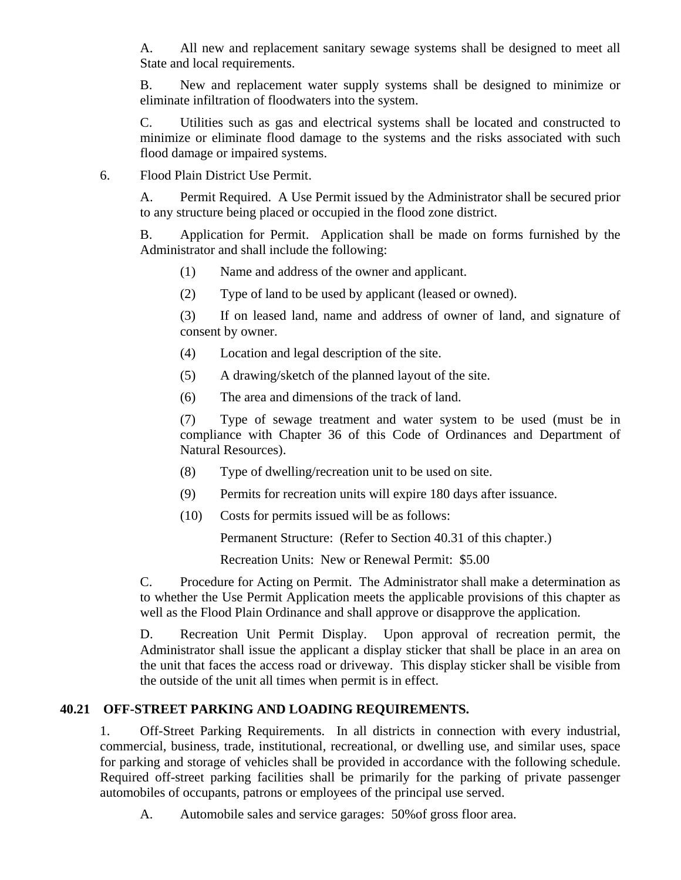A. All new and replacement sanitary sewage systems shall be designed to meet all State and local requirements.

B. New and replacement water supply systems shall be designed to minimize or eliminate infiltration of floodwaters into the system.

C. Utilities such as gas and electrical systems shall be located and constructed to minimize or eliminate flood damage to the systems and the risks associated with such flood damage or impaired systems.

6. Flood Plain District Use Permit.

A. Permit Required. A Use Permit issued by the Administrator shall be secured prior to any structure being placed or occupied in the flood zone district.

B. Application for Permit. Application shall be made on forms furnished by the Administrator and shall include the following:

- (1) Name and address of the owner and applicant.
- (2) Type of land to be used by applicant (leased or owned).

(3) If on leased land, name and address of owner of land, and signature of consent by owner.

- (4) Location and legal description of the site.
- (5) A drawing/sketch of the planned layout of the site.
- (6) The area and dimensions of the track of land.

(7) Type of sewage treatment and water system to be used (must be in compliance with Chapter 36 of this Code of Ordinances and Department of Natural Resources).

- (8) Type of dwelling/recreation unit to be used on site.
- (9) Permits for recreation units will expire 180 days after issuance.
- (10) Costs for permits issued will be as follows:

Permanent Structure: (Refer to Section 40.31 of this chapter.)

Recreation Units: New or Renewal Permit: \$5.00

C. Procedure for Acting on Permit. The Administrator shall make a determination as to whether the Use Permit Application meets the applicable provisions of this chapter as well as the Flood Plain Ordinance and shall approve or disapprove the application.

D. Recreation Unit Permit Display. Upon approval of recreation permit, the Administrator shall issue the applicant a display sticker that shall be place in an area on the unit that faces the access road or driveway. This display sticker shall be visible from the outside of the unit all times when permit is in effect.

### **40.21 OFF-STREET PARKING AND LOADING REQUIREMENTS.**

1. Off-Street Parking Requirements. In all districts in connection with every industrial, commercial, business, trade, institutional, recreational, or dwelling use, and similar uses, space for parking and storage of vehicles shall be provided in accordance with the following schedule. Required off-street parking facilities shall be primarily for the parking of private passenger automobiles of occupants, patrons or employees of the principal use served.

A. Automobile sales and service garages: 50%of gross floor area.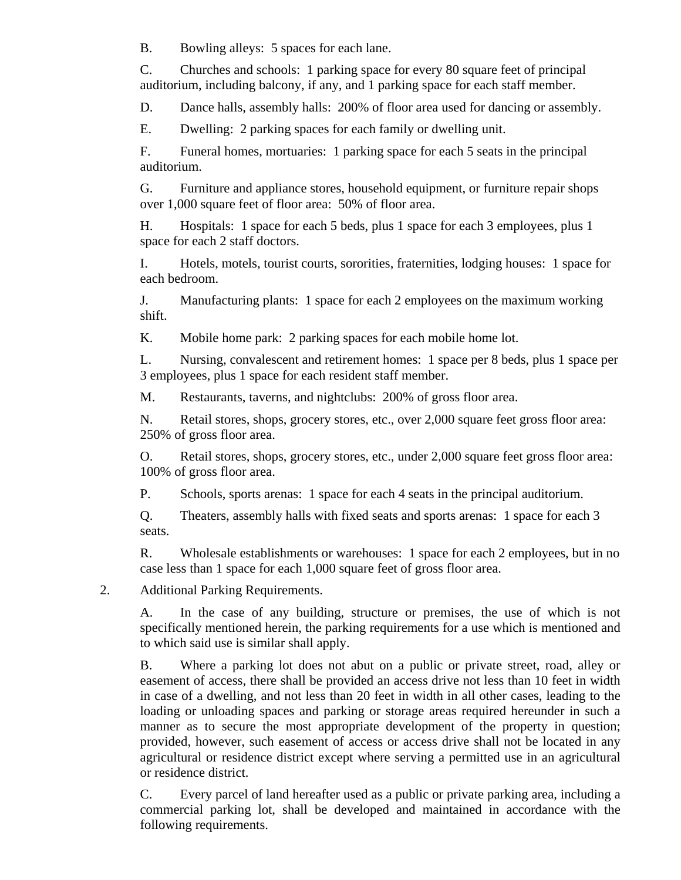B. Bowling alleys: 5 spaces for each lane.

C. Churches and schools: 1 parking space for every 80 square feet of principal auditorium, including balcony, if any, and 1 parking space for each staff member.

D. Dance halls, assembly halls: 200% of floor area used for dancing or assembly.

E. Dwelling: 2 parking spaces for each family or dwelling unit.

F. Funeral homes, mortuaries: 1 parking space for each 5 seats in the principal auditorium.

G. Furniture and appliance stores, household equipment, or furniture repair shops over 1,000 square feet of floor area: 50% of floor area.

H. Hospitals: 1 space for each 5 beds, plus 1 space for each 3 employees, plus 1 space for each 2 staff doctors.

I. Hotels, motels, tourist courts, sororities, fraternities, lodging houses: 1 space for each bedroom.

J. Manufacturing plants: 1 space for each 2 employees on the maximum working shift.

K. Mobile home park: 2 parking spaces for each mobile home lot.

L. Nursing, convalescent and retirement homes: 1 space per 8 beds, plus 1 space per 3 employees, plus 1 space for each resident staff member.

M. Restaurants, taverns, and nightclubs: 200% of gross floor area.

N. Retail stores, shops, grocery stores, etc., over 2,000 square feet gross floor area: 250% of gross floor area.

O. Retail stores, shops, grocery stores, etc., under 2,000 square feet gross floor area: 100% of gross floor area.

P. Schools, sports arenas: 1 space for each 4 seats in the principal auditorium.

Q. Theaters, assembly halls with fixed seats and sports arenas: 1 space for each 3 seats.

R. Wholesale establishments or warehouses: 1 space for each 2 employees, but in no case less than 1 space for each 1,000 square feet of gross floor area.

2. Additional Parking Requirements.

A. In the case of any building, structure or premises, the use of which is not specifically mentioned herein, the parking requirements for a use which is mentioned and to which said use is similar shall apply.

B. Where a parking lot does not abut on a public or private street, road, alley or easement of access, there shall be provided an access drive not less than 10 feet in width in case of a dwelling, and not less than 20 feet in width in all other cases, leading to the loading or unloading spaces and parking or storage areas required hereunder in such a manner as to secure the most appropriate development of the property in question; provided, however, such easement of access or access drive shall not be located in any agricultural or residence district except where serving a permitted use in an agricultural or residence district.

C. Every parcel of land hereafter used as a public or private parking area, including a commercial parking lot, shall be developed and maintained in accordance with the following requirements.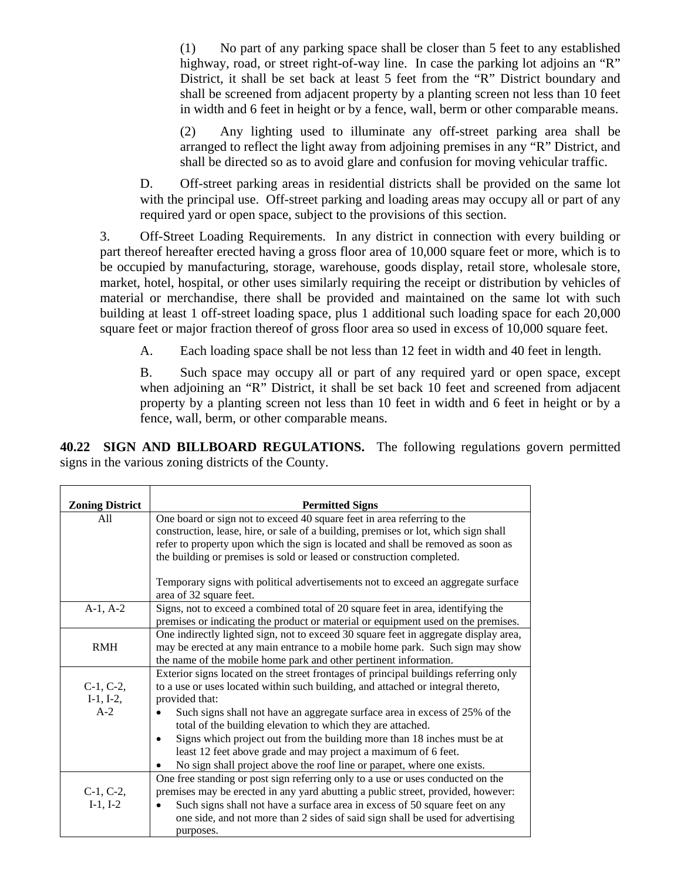(1) No part of any parking space shall be closer than 5 feet to any established highway, road, or street right-of-way line. In case the parking lot adjoins an "R" District, it shall be set back at least 5 feet from the "R" District boundary and shall be screened from adjacent property by a planting screen not less than 10 feet in width and 6 feet in height or by a fence, wall, berm or other comparable means.

(2) Any lighting used to illuminate any off-street parking area shall be arranged to reflect the light away from adjoining premises in any "R" District, and shall be directed so as to avoid glare and confusion for moving vehicular traffic.

D. Off-street parking areas in residential districts shall be provided on the same lot with the principal use. Off-street parking and loading areas may occupy all or part of any required yard or open space, subject to the provisions of this section.

3. Off-Street Loading Requirements. In any district in connection with every building or part thereof hereafter erected having a gross floor area of 10,000 square feet or more, which is to be occupied by manufacturing, storage, warehouse, goods display, retail store, wholesale store, market, hotel, hospital, or other uses similarly requiring the receipt or distribution by vehicles of material or merchandise, there shall be provided and maintained on the same lot with such building at least 1 off-street loading space, plus 1 additional such loading space for each 20,000 square feet or major fraction thereof of gross floor area so used in excess of 10,000 square feet.

A. Each loading space shall be not less than 12 feet in width and 40 feet in length.

B. Such space may occupy all or part of any required yard or open space, except when adjoining an "R" District, it shall be set back 10 feet and screened from adjacent property by a planting screen not less than 10 feet in width and 6 feet in height or by a fence, wall, berm, or other comparable means.

**40.22 SIGN AND BILLBOARD REGULATIONS.** The following regulations govern permitted signs in the various zoning districts of the County.

| <b>Zoning District</b> | <b>Permitted Signs</b>                                                                   |
|------------------------|------------------------------------------------------------------------------------------|
| All                    | One board or sign not to exceed 40 square feet in area referring to the                  |
|                        | construction, lease, hire, or sale of a building, premises or lot, which sign shall      |
|                        | refer to property upon which the sign is located and shall be removed as soon as         |
|                        | the building or premises is sold or leased or construction completed.                    |
|                        |                                                                                          |
|                        | Temporary signs with political advertisements not to exceed an aggregate surface         |
|                        | area of 32 square feet.                                                                  |
| $A-1, A-2$             | Signs, not to exceed a combined total of 20 square feet in area, identifying the         |
|                        | premises or indicating the product or material or equipment used on the premises.        |
|                        | One indirectly lighted sign, not to exceed 30 square feet in aggregate display area,     |
| <b>RMH</b>             | may be erected at any main entrance to a mobile home park. Such sign may show            |
|                        | the name of the mobile home park and other pertinent information.                        |
|                        | Exterior signs located on the street frontages of principal buildings referring only     |
| $C-1, C-2,$            | to a use or uses located within such building, and attached or integral thereto,         |
| $I-1, I-2,$            | provided that:                                                                           |
| $A-2$                  | Such signs shall not have an aggregate surface area in excess of 25% of the<br>$\bullet$ |
|                        | total of the building elevation to which they are attached.                              |
|                        | Signs which project out from the building more than 18 inches must be at                 |
|                        | least 12 feet above grade and may project a maximum of 6 feet.                           |
|                        | No sign shall project above the roof line or parapet, where one exists.                  |
|                        | One free standing or post sign referring only to a use or uses conducted on the          |
| $C-1, C-2,$            | premises may be erected in any yard abutting a public street, provided, however:         |
| $I-1, I-2$             | Such signs shall not have a surface area in excess of 50 square feet on any              |
|                        | one side, and not more than 2 sides of said sign shall be used for advertising           |
|                        | purposes.                                                                                |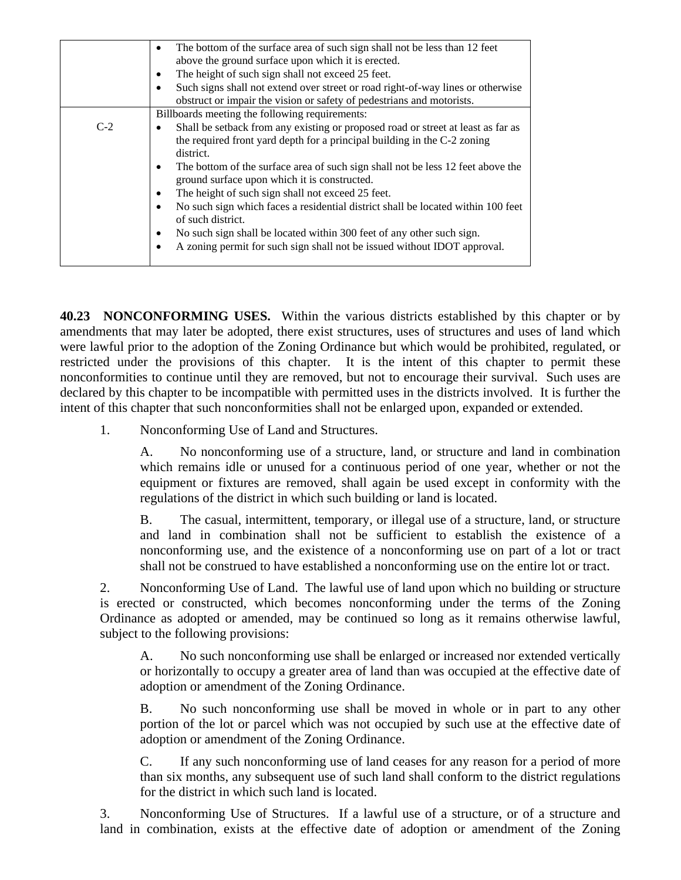|       | The bottom of the surface area of such sign shall not be less than 12 feet<br>$\bullet$<br>above the ground surface upon which it is erected.                                          |
|-------|----------------------------------------------------------------------------------------------------------------------------------------------------------------------------------------|
|       | The height of such sign shall not exceed 25 feet.<br>٠                                                                                                                                 |
|       | Such signs shall not extend over street or road right-of-way lines or otherwise<br>$\bullet$<br>obstruct or impair the vision or safety of pedestrians and motorists.                  |
|       | Billboards meeting the following requirements:                                                                                                                                         |
| $C-2$ | Shall be setback from any existing or proposed road or street at least as far as<br>$\bullet$<br>the required front yard depth for a principal building in the C-2 zoning<br>district. |
|       | The bottom of the surface area of such sign shall not be less 12 feet above the<br>$\bullet$<br>ground surface upon which it is constructed.                                           |
|       | The height of such sign shall not exceed 25 feet.<br>٠                                                                                                                                 |
|       | No such sign which faces a residential district shall be located within 100 feet<br>$\bullet$<br>of such district.                                                                     |
|       | No such sign shall be located within 300 feet of any other such sign.<br>$\bullet$<br>A zoning permit for such sign shall not be issued without IDOT approval.<br>$\bullet$            |
|       |                                                                                                                                                                                        |

**40.23 NONCONFORMING USES.** Within the various districts established by this chapter or by amendments that may later be adopted, there exist structures, uses of structures and uses of land which were lawful prior to the adoption of the Zoning Ordinance but which would be prohibited, regulated, or restricted under the provisions of this chapter. It is the intent of this chapter to permit these nonconformities to continue until they are removed, but not to encourage their survival. Such uses are declared by this chapter to be incompatible with permitted uses in the districts involved. It is further the intent of this chapter that such nonconformities shall not be enlarged upon, expanded or extended.

1. Nonconforming Use of Land and Structures.

A. No nonconforming use of a structure, land, or structure and land in combination which remains idle or unused for a continuous period of one year, whether or not the equipment or fixtures are removed, shall again be used except in conformity with the regulations of the district in which such building or land is located.

B. The casual, intermittent, temporary, or illegal use of a structure, land, or structure and land in combination shall not be sufficient to establish the existence of a nonconforming use, and the existence of a nonconforming use on part of a lot or tract shall not be construed to have established a nonconforming use on the entire lot or tract.

2. Nonconforming Use of Land. The lawful use of land upon which no building or structure is erected or constructed, which becomes nonconforming under the terms of the Zoning Ordinance as adopted or amended, may be continued so long as it remains otherwise lawful, subject to the following provisions:

A. No such nonconforming use shall be enlarged or increased nor extended vertically or horizontally to occupy a greater area of land than was occupied at the effective date of adoption or amendment of the Zoning Ordinance.

B. No such nonconforming use shall be moved in whole or in part to any other portion of the lot or parcel which was not occupied by such use at the effective date of adoption or amendment of the Zoning Ordinance.

C. If any such nonconforming use of land ceases for any reason for a period of more than six months, any subsequent use of such land shall conform to the district regulations for the district in which such land is located.

3. Nonconforming Use of Structures. If a lawful use of a structure, or of a structure and land in combination, exists at the effective date of adoption or amendment of the Zoning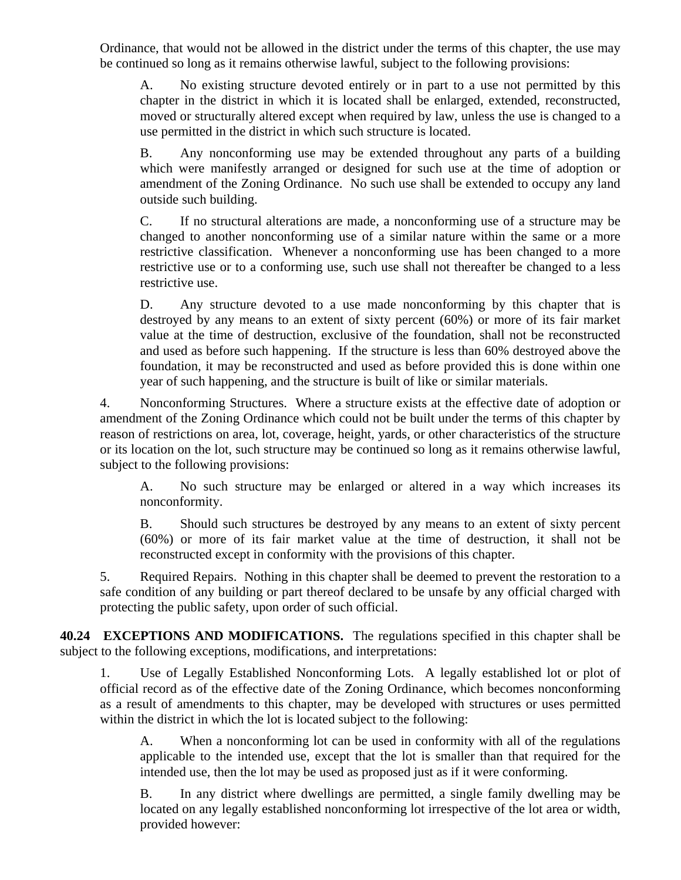Ordinance, that would not be allowed in the district under the terms of this chapter, the use may be continued so long as it remains otherwise lawful, subject to the following provisions:

A. No existing structure devoted entirely or in part to a use not permitted by this chapter in the district in which it is located shall be enlarged, extended, reconstructed, moved or structurally altered except when required by law, unless the use is changed to a use permitted in the district in which such structure is located.

B. Any nonconforming use may be extended throughout any parts of a building which were manifestly arranged or designed for such use at the time of adoption or amendment of the Zoning Ordinance. No such use shall be extended to occupy any land outside such building.

C. If no structural alterations are made, a nonconforming use of a structure may be changed to another nonconforming use of a similar nature within the same or a more restrictive classification. Whenever a nonconforming use has been changed to a more restrictive use or to a conforming use, such use shall not thereafter be changed to a less restrictive use.

D. Any structure devoted to a use made nonconforming by this chapter that is destroyed by any means to an extent of sixty percent (60%) or more of its fair market value at the time of destruction, exclusive of the foundation, shall not be reconstructed and used as before such happening. If the structure is less than 60% destroyed above the foundation, it may be reconstructed and used as before provided this is done within one year of such happening, and the structure is built of like or similar materials.

4. Nonconforming Structures. Where a structure exists at the effective date of adoption or amendment of the Zoning Ordinance which could not be built under the terms of this chapter by reason of restrictions on area, lot, coverage, height, yards, or other characteristics of the structure or its location on the lot, such structure may be continued so long as it remains otherwise lawful, subject to the following provisions:

A. No such structure may be enlarged or altered in a way which increases its nonconformity.

B. Should such structures be destroyed by any means to an extent of sixty percent (60%) or more of its fair market value at the time of destruction, it shall not be reconstructed except in conformity with the provisions of this chapter.

5. Required Repairs. Nothing in this chapter shall be deemed to prevent the restoration to a safe condition of any building or part thereof declared to be unsafe by any official charged with protecting the public safety, upon order of such official.

**40.24 EXCEPTIONS AND MODIFICATIONS.** The regulations specified in this chapter shall be subject to the following exceptions, modifications, and interpretations:

1. Use of Legally Established Nonconforming Lots. A legally established lot or plot of official record as of the effective date of the Zoning Ordinance, which becomes nonconforming as a result of amendments to this chapter, may be developed with structures or uses permitted within the district in which the lot is located subject to the following:

A. When a nonconforming lot can be used in conformity with all of the regulations applicable to the intended use, except that the lot is smaller than that required for the intended use, then the lot may be used as proposed just as if it were conforming.

B. In any district where dwellings are permitted, a single family dwelling may be located on any legally established nonconforming lot irrespective of the lot area or width, provided however: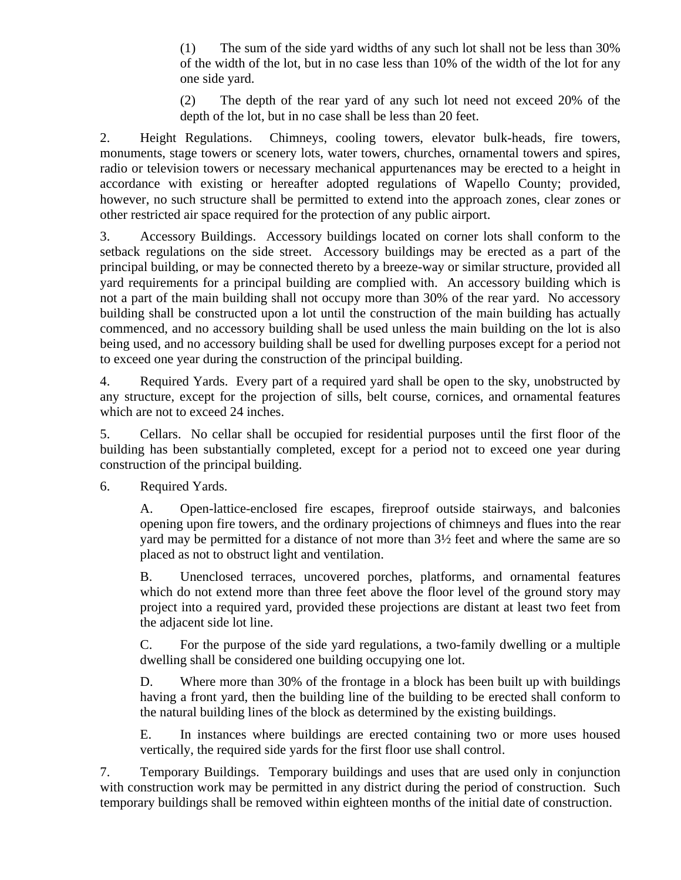(1) The sum of the side yard widths of any such lot shall not be less than 30% of the width of the lot, but in no case less than 10% of the width of the lot for any one side yard.

(2) The depth of the rear yard of any such lot need not exceed 20% of the depth of the lot, but in no case shall be less than 20 feet.

2. Height Regulations. Chimneys, cooling towers, elevator bulk-heads, fire towers, monuments, stage towers or scenery lots, water towers, churches, ornamental towers and spires, radio or television towers or necessary mechanical appurtenances may be erected to a height in accordance with existing or hereafter adopted regulations of Wapello County; provided, however, no such structure shall be permitted to extend into the approach zones, clear zones or other restricted air space required for the protection of any public airport.

3. Accessory Buildings. Accessory buildings located on corner lots shall conform to the setback regulations on the side street. Accessory buildings may be erected as a part of the principal building, or may be connected thereto by a breeze-way or similar structure, provided all yard requirements for a principal building are complied with. An accessory building which is not a part of the main building shall not occupy more than 30% of the rear yard. No accessory building shall be constructed upon a lot until the construction of the main building has actually commenced, and no accessory building shall be used unless the main building on the lot is also being used, and no accessory building shall be used for dwelling purposes except for a period not to exceed one year during the construction of the principal building.

4. Required Yards. Every part of a required yard shall be open to the sky, unobstructed by any structure, except for the projection of sills, belt course, cornices, and ornamental features which are not to exceed 24 inches.

5. Cellars. No cellar shall be occupied for residential purposes until the first floor of the building has been substantially completed, except for a period not to exceed one year during construction of the principal building.

6. Required Yards.

A. Open-lattice-enclosed fire escapes, fireproof outside stairways, and balconies opening upon fire towers, and the ordinary projections of chimneys and flues into the rear yard may be permitted for a distance of not more than 3½ feet and where the same are so placed as not to obstruct light and ventilation.

B. Unenclosed terraces, uncovered porches, platforms, and ornamental features which do not extend more than three feet above the floor level of the ground story may project into a required yard, provided these projections are distant at least two feet from the adjacent side lot line.

C. For the purpose of the side yard regulations, a two-family dwelling or a multiple dwelling shall be considered one building occupying one lot.

D. Where more than 30% of the frontage in a block has been built up with buildings having a front yard, then the building line of the building to be erected shall conform to the natural building lines of the block as determined by the existing buildings.

E. In instances where buildings are erected containing two or more uses housed vertically, the required side yards for the first floor use shall control.

7. Temporary Buildings. Temporary buildings and uses that are used only in conjunction with construction work may be permitted in any district during the period of construction. Such temporary buildings shall be removed within eighteen months of the initial date of construction.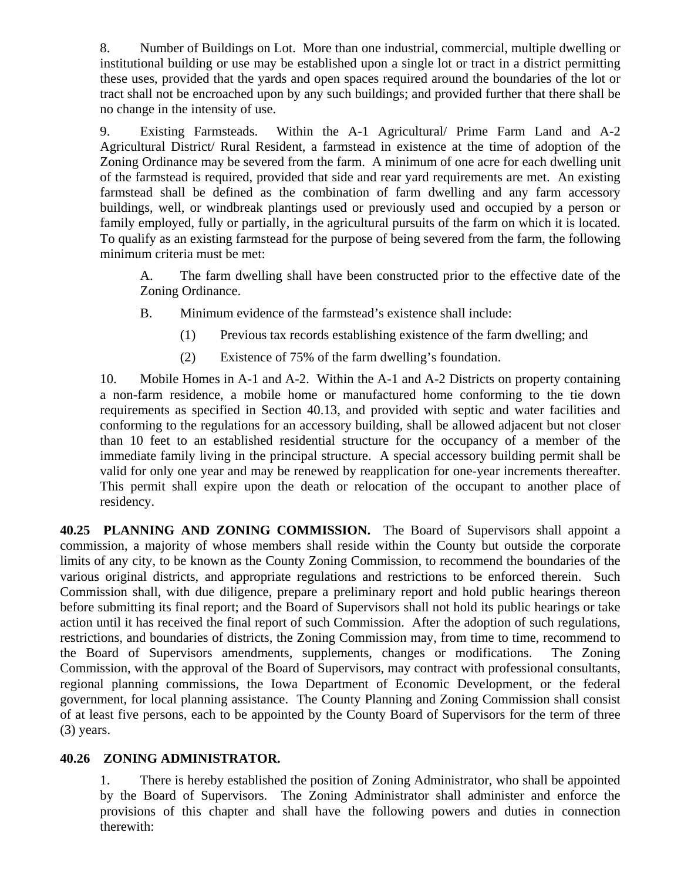8. Number of Buildings on Lot. More than one industrial, commercial, multiple dwelling or institutional building or use may be established upon a single lot or tract in a district permitting these uses, provided that the yards and open spaces required around the boundaries of the lot or tract shall not be encroached upon by any such buildings; and provided further that there shall be no change in the intensity of use.

9. Existing Farmsteads. Within the A-1 Agricultural/ Prime Farm Land and A-2 Agricultural District/ Rural Resident, a farmstead in existence at the time of adoption of the Zoning Ordinance may be severed from the farm. A minimum of one acre for each dwelling unit of the farmstead is required, provided that side and rear yard requirements are met. An existing farmstead shall be defined as the combination of farm dwelling and any farm accessory buildings, well, or windbreak plantings used or previously used and occupied by a person or family employed, fully or partially, in the agricultural pursuits of the farm on which it is located. To qualify as an existing farmstead for the purpose of being severed from the farm, the following minimum criteria must be met:

A. The farm dwelling shall have been constructed prior to the effective date of the Zoning Ordinance.

B. Minimum evidence of the farmstead's existence shall include:

- (1) Previous tax records establishing existence of the farm dwelling; and
- (2) Existence of 75% of the farm dwelling's foundation.

10. Mobile Homes in A-1 and A-2. Within the A-1 and A-2 Districts on property containing a non-farm residence, a mobile home or manufactured home conforming to the tie down requirements as specified in Section 40.13, and provided with septic and water facilities and conforming to the regulations for an accessory building, shall be allowed adjacent but not closer than 10 feet to an established residential structure for the occupancy of a member of the immediate family living in the principal structure. A special accessory building permit shall be valid for only one year and may be renewed by reapplication for one-year increments thereafter. This permit shall expire upon the death or relocation of the occupant to another place of residency.

**40.25 PLANNING AND ZONING COMMISSION.** The Board of Supervisors shall appoint a commission, a majority of whose members shall reside within the County but outside the corporate limits of any city, to be known as the County Zoning Commission, to recommend the boundaries of the various original districts, and appropriate regulations and restrictions to be enforced therein. Such Commission shall, with due diligence, prepare a preliminary report and hold public hearings thereon before submitting its final report; and the Board of Supervisors shall not hold its public hearings or take action until it has received the final report of such Commission. After the adoption of such regulations, restrictions, and boundaries of districts, the Zoning Commission may, from time to time, recommend to the Board of Supervisors amendments, supplements, changes or modifications. The Zoning Commission, with the approval of the Board of Supervisors, may contract with professional consultants, regional planning commissions, the Iowa Department of Economic Development, or the federal government, for local planning assistance. The County Planning and Zoning Commission shall consist of at least five persons, each to be appointed by the County Board of Supervisors for the term of three (3) years.

### **40.26 ZONING ADMINISTRATOR.**

1. There is hereby established the position of Zoning Administrator, who shall be appointed by the Board of Supervisors. The Zoning Administrator shall administer and enforce the provisions of this chapter and shall have the following powers and duties in connection therewith: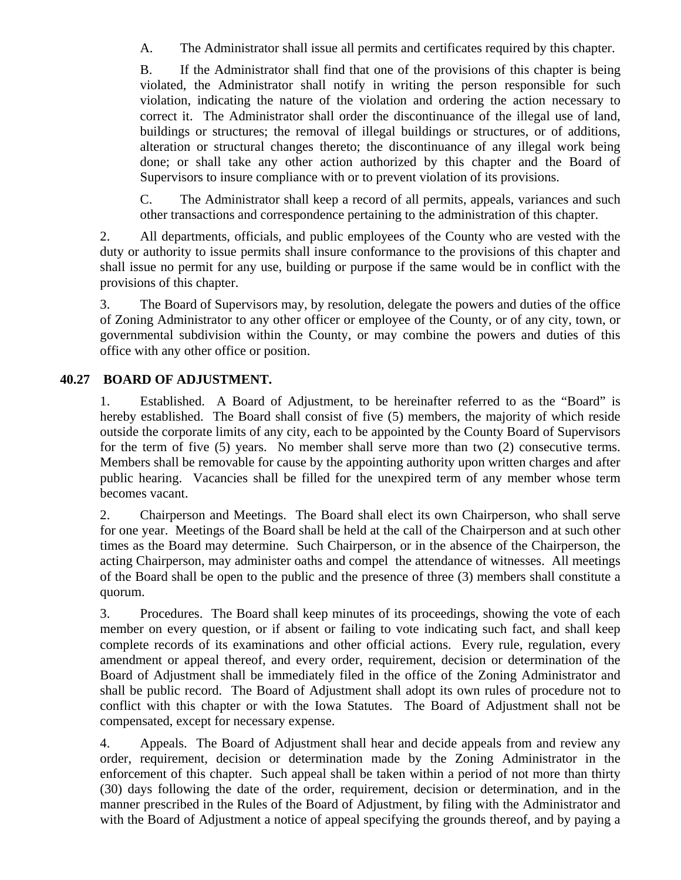A. The Administrator shall issue all permits and certificates required by this chapter.

B. If the Administrator shall find that one of the provisions of this chapter is being violated, the Administrator shall notify in writing the person responsible for such violation, indicating the nature of the violation and ordering the action necessary to correct it. The Administrator shall order the discontinuance of the illegal use of land, buildings or structures; the removal of illegal buildings or structures, or of additions, alteration or structural changes thereto; the discontinuance of any illegal work being done; or shall take any other action authorized by this chapter and the Board of Supervisors to insure compliance with or to prevent violation of its provisions.

C. The Administrator shall keep a record of all permits, appeals, variances and such other transactions and correspondence pertaining to the administration of this chapter.

2. All departments, officials, and public employees of the County who are vested with the duty or authority to issue permits shall insure conformance to the provisions of this chapter and shall issue no permit for any use, building or purpose if the same would be in conflict with the provisions of this chapter.

3. The Board of Supervisors may, by resolution, delegate the powers and duties of the office of Zoning Administrator to any other officer or employee of the County, or of any city, town, or governmental subdivision within the County, or may combine the powers and duties of this office with any other office or position.

### **40.27 BOARD OF ADJUSTMENT.**

1. Established. A Board of Adjustment, to be hereinafter referred to as the "Board" is hereby established. The Board shall consist of five (5) members, the majority of which reside outside the corporate limits of any city, each to be appointed by the County Board of Supervisors for the term of five (5) years. No member shall serve more than two (2) consecutive terms. Members shall be removable for cause by the appointing authority upon written charges and after public hearing. Vacancies shall be filled for the unexpired term of any member whose term becomes vacant.

2. Chairperson and Meetings. The Board shall elect its own Chairperson, who shall serve for one year. Meetings of the Board shall be held at the call of the Chairperson and at such other times as the Board may determine. Such Chairperson, or in the absence of the Chairperson, the acting Chairperson, may administer oaths and compel the attendance of witnesses. All meetings of the Board shall be open to the public and the presence of three (3) members shall constitute a quorum.

3. Procedures. The Board shall keep minutes of its proceedings, showing the vote of each member on every question, or if absent or failing to vote indicating such fact, and shall keep complete records of its examinations and other official actions. Every rule, regulation, every amendment or appeal thereof, and every order, requirement, decision or determination of the Board of Adjustment shall be immediately filed in the office of the Zoning Administrator and shall be public record. The Board of Adjustment shall adopt its own rules of procedure not to conflict with this chapter or with the Iowa Statutes. The Board of Adjustment shall not be compensated, except for necessary expense.

4. Appeals. The Board of Adjustment shall hear and decide appeals from and review any order, requirement, decision or determination made by the Zoning Administrator in the enforcement of this chapter. Such appeal shall be taken within a period of not more than thirty (30) days following the date of the order, requirement, decision or determination, and in the manner prescribed in the Rules of the Board of Adjustment, by filing with the Administrator and with the Board of Adjustment a notice of appeal specifying the grounds thereof, and by paying a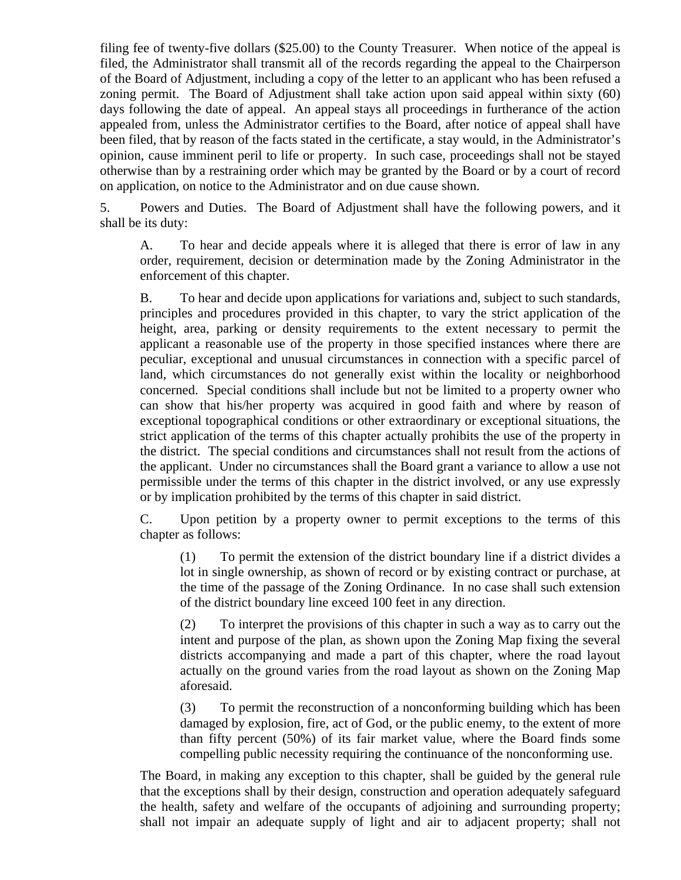filing fee of twenty-five dollars (\$25.00) to the County Treasurer. When notice of the appeal is filed, the Administrator shall transmit all of the records regarding the appeal to the Chairperson of the Board of Adjustment, including a copy of the letter to an applicant who has been refused a zoning permit. The Board of Adjustment shall take action upon said appeal within sixty (60) days following the date of appeal. An appeal stays all proceedings in furtherance of the action appealed from, unless the Administrator certifies to the Board, after notice of appeal shall have been filed, that by reason of the facts stated in the certificate, a stay would, in the Administrator's opinion, cause imminent peril to life or property. In such case, proceedings shall not be stayed otherwise than by a restraining order which may be granted by the Board or by a court of record on application, on notice to the Administrator and on due cause shown.

5. Powers and Duties. The Board of Adjustment shall have the following powers, and it shall be its duty:

A. To hear and decide appeals where it is alleged that there is error of law in any order, requirement, decision or determination made by the Zoning Administrator in the enforcement of this chapter.

B. To hear and decide upon applications for variations and, subject to such standards, principles and procedures provided in this chapter, to vary the strict application of the height, area, parking or density requirements to the extent necessary to permit the applicant a reasonable use of the property in those specified instances where there are peculiar, exceptional and unusual circumstances in connection with a specific parcel of land, which circumstances do not generally exist within the locality or neighborhood concerned. Special conditions shall include but not be limited to a property owner who can show that his/her property was acquired in good faith and where by reason of exceptional topographical conditions or other extraordinary or exceptional situations, the strict application of the terms of this chapter actually prohibits the use of the property in the district. The special conditions and circumstances shall not result from the actions of the applicant. Under no circumstances shall the Board grant a variance to allow a use not permissible under the terms of this chapter in the district involved, or any use expressly or by implication prohibited by the terms of this chapter in said district.

C. Upon petition by a property owner to permit exceptions to the terms of this chapter as follows:

(1) To permit the extension of the district boundary line if a district divides a lot in single ownership, as shown of record or by existing contract or purchase, at the time of the passage of the Zoning Ordinance. In no case shall such extension of the district boundary line exceed 100 feet in any direction.

(2) To interpret the provisions of this chapter in such a way as to carry out the intent and purpose of the plan, as shown upon the Zoning Map fixing the several districts accompanying and made a part of this chapter, where the road layout actually on the ground varies from the road layout as shown on the Zoning Map aforesaid.

(3) To permit the reconstruction of a nonconforming building which has been damaged by explosion, fire, act of God, or the public enemy, to the extent of more than fifty percent (50%) of its fair market value, where the Board finds some compelling public necessity requiring the continuance of the nonconforming use.

The Board, in making any exception to this chapter, shall be guided by the general rule that the exceptions shall by their design, construction and operation adequately safeguard the health, safety and welfare of the occupants of adjoining and surrounding property; shall not impair an adequate supply of light and air to adjacent property; shall not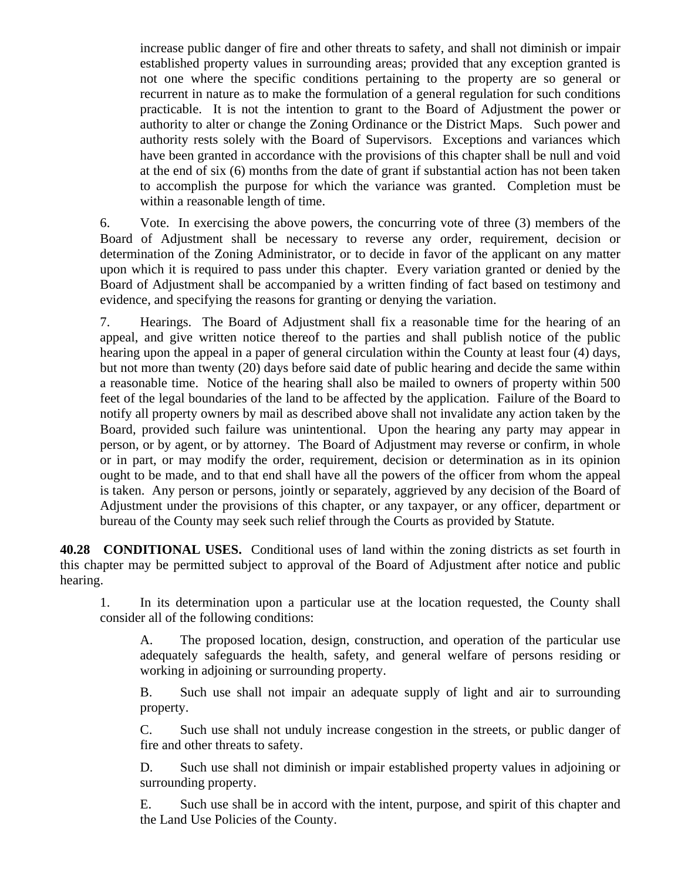increase public danger of fire and other threats to safety, and shall not diminish or impair established property values in surrounding areas; provided that any exception granted is not one where the specific conditions pertaining to the property are so general or recurrent in nature as to make the formulation of a general regulation for such conditions practicable. It is not the intention to grant to the Board of Adjustment the power or authority to alter or change the Zoning Ordinance or the District Maps. Such power and authority rests solely with the Board of Supervisors. Exceptions and variances which have been granted in accordance with the provisions of this chapter shall be null and void at the end of six (6) months from the date of grant if substantial action has not been taken to accomplish the purpose for which the variance was granted. Completion must be within a reasonable length of time.

6. Vote. In exercising the above powers, the concurring vote of three (3) members of the Board of Adjustment shall be necessary to reverse any order, requirement, decision or determination of the Zoning Administrator, or to decide in favor of the applicant on any matter upon which it is required to pass under this chapter. Every variation granted or denied by the Board of Adjustment shall be accompanied by a written finding of fact based on testimony and evidence, and specifying the reasons for granting or denying the variation.

7. Hearings. The Board of Adjustment shall fix a reasonable time for the hearing of an appeal, and give written notice thereof to the parties and shall publish notice of the public hearing upon the appeal in a paper of general circulation within the County at least four (4) days, but not more than twenty (20) days before said date of public hearing and decide the same within a reasonable time. Notice of the hearing shall also be mailed to owners of property within 500 feet of the legal boundaries of the land to be affected by the application. Failure of the Board to notify all property owners by mail as described above shall not invalidate any action taken by the Board, provided such failure was unintentional. Upon the hearing any party may appear in person, or by agent, or by attorney. The Board of Adjustment may reverse or confirm, in whole or in part, or may modify the order, requirement, decision or determination as in its opinion ought to be made, and to that end shall have all the powers of the officer from whom the appeal is taken. Any person or persons, jointly or separately, aggrieved by any decision of the Board of Adjustment under the provisions of this chapter, or any taxpayer, or any officer, department or bureau of the County may seek such relief through the Courts as provided by Statute.

**40.28 CONDITIONAL USES.** Conditional uses of land within the zoning districts as set fourth in this chapter may be permitted subject to approval of the Board of Adjustment after notice and public hearing.

1. In its determination upon a particular use at the location requested, the County shall consider all of the following conditions:

A. The proposed location, design, construction, and operation of the particular use adequately safeguards the health, safety, and general welfare of persons residing or working in adjoining or surrounding property.

B. Such use shall not impair an adequate supply of light and air to surrounding property.

C. Such use shall not unduly increase congestion in the streets, or public danger of fire and other threats to safety.

D. Such use shall not diminish or impair established property values in adjoining or surrounding property.

E. Such use shall be in accord with the intent, purpose, and spirit of this chapter and the Land Use Policies of the County.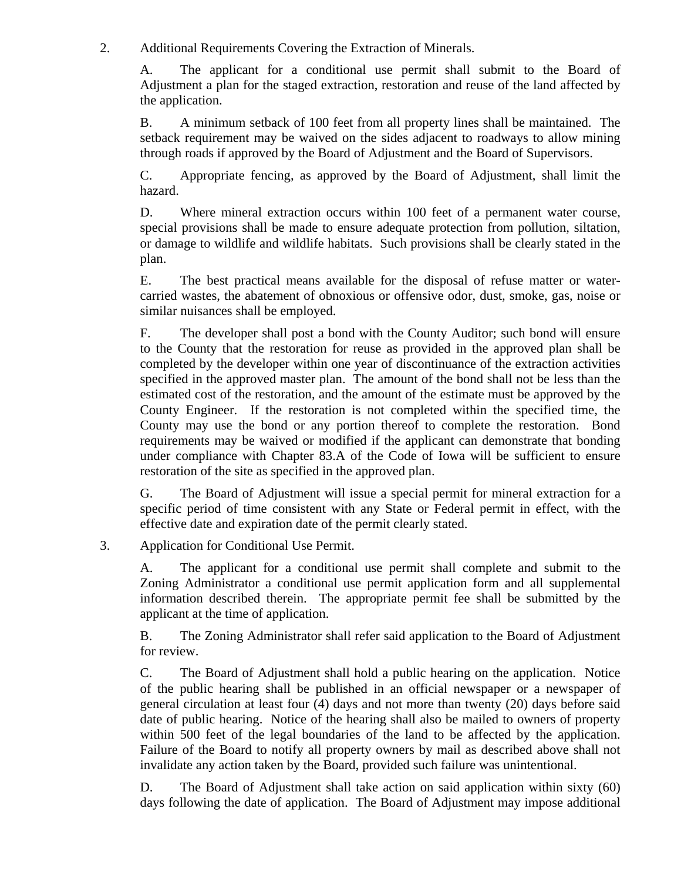2. Additional Requirements Covering the Extraction of Minerals.

A. The applicant for a conditional use permit shall submit to the Board of Adjustment a plan for the staged extraction, restoration and reuse of the land affected by the application.

B. A minimum setback of 100 feet from all property lines shall be maintained. The setback requirement may be waived on the sides adjacent to roadways to allow mining through roads if approved by the Board of Adjustment and the Board of Supervisors.

C. Appropriate fencing, as approved by the Board of Adjustment, shall limit the hazard.

D. Where mineral extraction occurs within 100 feet of a permanent water course, special provisions shall be made to ensure adequate protection from pollution, siltation, or damage to wildlife and wildlife habitats. Such provisions shall be clearly stated in the plan.

E. The best practical means available for the disposal of refuse matter or watercarried wastes, the abatement of obnoxious or offensive odor, dust, smoke, gas, noise or similar nuisances shall be employed.

F. The developer shall post a bond with the County Auditor; such bond will ensure to the County that the restoration for reuse as provided in the approved plan shall be completed by the developer within one year of discontinuance of the extraction activities specified in the approved master plan. The amount of the bond shall not be less than the estimated cost of the restoration, and the amount of the estimate must be approved by the County Engineer. If the restoration is not completed within the specified time, the County may use the bond or any portion thereof to complete the restoration. Bond requirements may be waived or modified if the applicant can demonstrate that bonding under compliance with Chapter 83.A of the Code of Iowa will be sufficient to ensure restoration of the site as specified in the approved plan.

G. The Board of Adjustment will issue a special permit for mineral extraction for a specific period of time consistent with any State or Federal permit in effect, with the effective date and expiration date of the permit clearly stated.

### 3. Application for Conditional Use Permit.

A. The applicant for a conditional use permit shall complete and submit to the Zoning Administrator a conditional use permit application form and all supplemental information described therein. The appropriate permit fee shall be submitted by the applicant at the time of application.

B. The Zoning Administrator shall refer said application to the Board of Adjustment for review.

C. The Board of Adjustment shall hold a public hearing on the application. Notice of the public hearing shall be published in an official newspaper or a newspaper of general circulation at least four (4) days and not more than twenty (20) days before said date of public hearing. Notice of the hearing shall also be mailed to owners of property within 500 feet of the legal boundaries of the land to be affected by the application. Failure of the Board to notify all property owners by mail as described above shall not invalidate any action taken by the Board, provided such failure was unintentional.

D. The Board of Adjustment shall take action on said application within sixty (60) days following the date of application. The Board of Adjustment may impose additional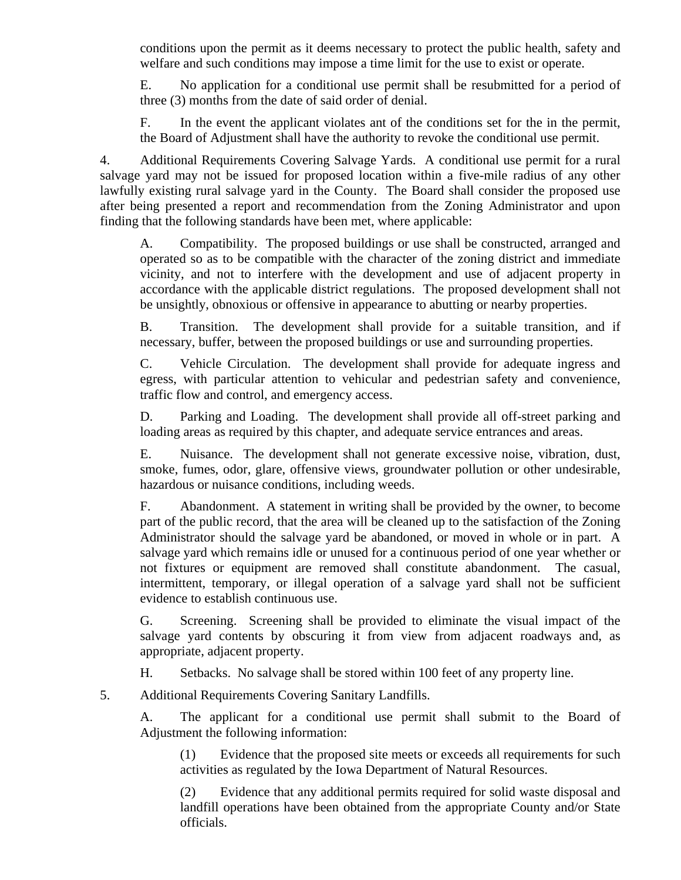conditions upon the permit as it deems necessary to protect the public health, safety and welfare and such conditions may impose a time limit for the use to exist or operate.

E. No application for a conditional use permit shall be resubmitted for a period of three (3) months from the date of said order of denial.

F. In the event the applicant violates ant of the conditions set for the in the permit, the Board of Adjustment shall have the authority to revoke the conditional use permit.

4. Additional Requirements Covering Salvage Yards. A conditional use permit for a rural salvage yard may not be issued for proposed location within a five-mile radius of any other lawfully existing rural salvage yard in the County. The Board shall consider the proposed use after being presented a report and recommendation from the Zoning Administrator and upon finding that the following standards have been met, where applicable:

A. Compatibility. The proposed buildings or use shall be constructed, arranged and operated so as to be compatible with the character of the zoning district and immediate vicinity, and not to interfere with the development and use of adjacent property in accordance with the applicable district regulations. The proposed development shall not be unsightly, obnoxious or offensive in appearance to abutting or nearby properties.

B. Transition. The development shall provide for a suitable transition, and if necessary, buffer, between the proposed buildings or use and surrounding properties.

C. Vehicle Circulation. The development shall provide for adequate ingress and egress, with particular attention to vehicular and pedestrian safety and convenience, traffic flow and control, and emergency access.

D. Parking and Loading. The development shall provide all off-street parking and loading areas as required by this chapter, and adequate service entrances and areas.

E. Nuisance. The development shall not generate excessive noise, vibration, dust, smoke, fumes, odor, glare, offensive views, groundwater pollution or other undesirable, hazardous or nuisance conditions, including weeds.

F. Abandonment. A statement in writing shall be provided by the owner, to become part of the public record, that the area will be cleaned up to the satisfaction of the Zoning Administrator should the salvage yard be abandoned, or moved in whole or in part. A salvage yard which remains idle or unused for a continuous period of one year whether or not fixtures or equipment are removed shall constitute abandonment. The casual, intermittent, temporary, or illegal operation of a salvage yard shall not be sufficient evidence to establish continuous use.

G. Screening. Screening shall be provided to eliminate the visual impact of the salvage yard contents by obscuring it from view from adjacent roadways and, as appropriate, adjacent property.

H. Setbacks. No salvage shall be stored within 100 feet of any property line.

5. Additional Requirements Covering Sanitary Landfills.

A. The applicant for a conditional use permit shall submit to the Board of Adjustment the following information:

(1) Evidence that the proposed site meets or exceeds all requirements for such activities as regulated by the Iowa Department of Natural Resources.

(2) Evidence that any additional permits required for solid waste disposal and landfill operations have been obtained from the appropriate County and/or State officials.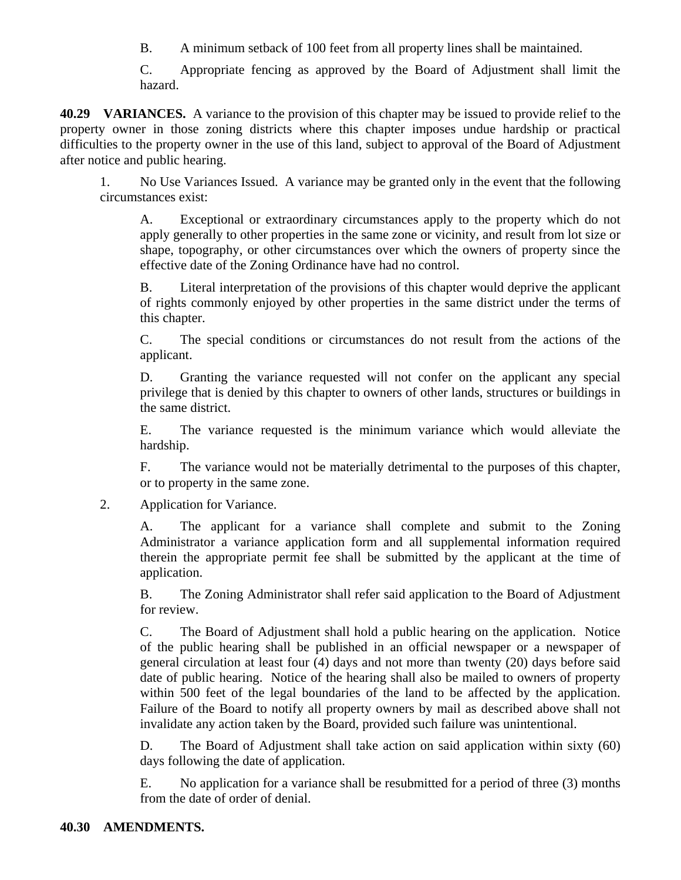B. A minimum setback of 100 feet from all property lines shall be maintained.

C. Appropriate fencing as approved by the Board of Adjustment shall limit the hazard.

**40.29 VARIANCES.** A variance to the provision of this chapter may be issued to provide relief to the property owner in those zoning districts where this chapter imposes undue hardship or practical difficulties to the property owner in the use of this land, subject to approval of the Board of Adjustment after notice and public hearing.

1. No Use Variances Issued. A variance may be granted only in the event that the following circumstances exist:

A. Exceptional or extraordinary circumstances apply to the property which do not apply generally to other properties in the same zone or vicinity, and result from lot size or shape, topography, or other circumstances over which the owners of property since the effective date of the Zoning Ordinance have had no control.

B. Literal interpretation of the provisions of this chapter would deprive the applicant of rights commonly enjoyed by other properties in the same district under the terms of this chapter.

C. The special conditions or circumstances do not result from the actions of the applicant.

D. Granting the variance requested will not confer on the applicant any special privilege that is denied by this chapter to owners of other lands, structures or buildings in the same district.

E. The variance requested is the minimum variance which would alleviate the hardship.

F. The variance would not be materially detrimental to the purposes of this chapter, or to property in the same zone.

2. Application for Variance.

A. The applicant for a variance shall complete and submit to the Zoning Administrator a variance application form and all supplemental information required therein the appropriate permit fee shall be submitted by the applicant at the time of application.

B. The Zoning Administrator shall refer said application to the Board of Adjustment for review.

C. The Board of Adjustment shall hold a public hearing on the application. Notice of the public hearing shall be published in an official newspaper or a newspaper of general circulation at least four (4) days and not more than twenty (20) days before said date of public hearing. Notice of the hearing shall also be mailed to owners of property within 500 feet of the legal boundaries of the land to be affected by the application. Failure of the Board to notify all property owners by mail as described above shall not invalidate any action taken by the Board, provided such failure was unintentional.

D. The Board of Adjustment shall take action on said application within sixty (60) days following the date of application.

E. No application for a variance shall be resubmitted for a period of three (3) months from the date of order of denial.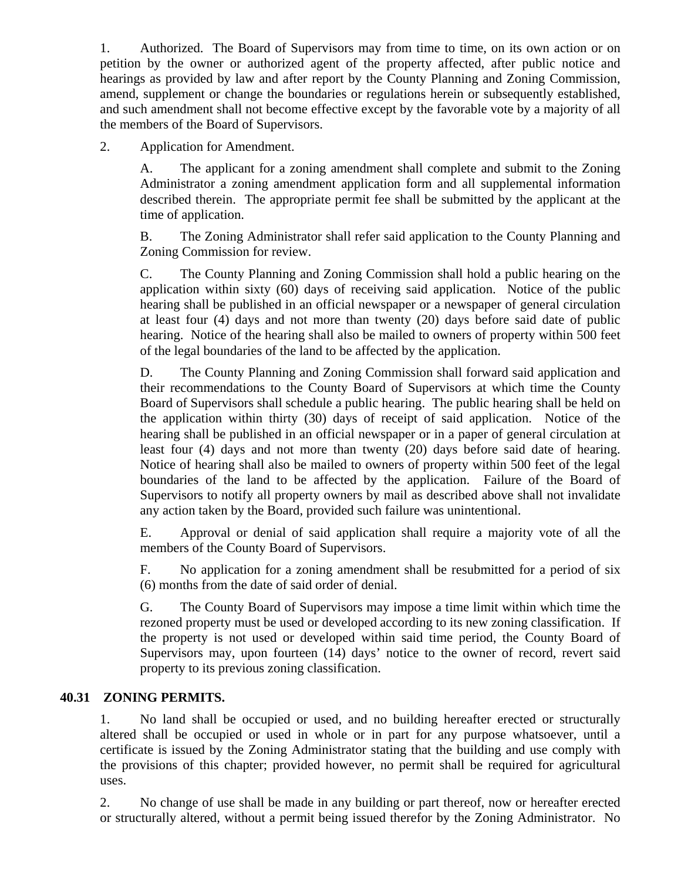1. Authorized. The Board of Supervisors may from time to time, on its own action or on petition by the owner or authorized agent of the property affected, after public notice and hearings as provided by law and after report by the County Planning and Zoning Commission, amend, supplement or change the boundaries or regulations herein or subsequently established, and such amendment shall not become effective except by the favorable vote by a majority of all the members of the Board of Supervisors.

2. Application for Amendment.

A. The applicant for a zoning amendment shall complete and submit to the Zoning Administrator a zoning amendment application form and all supplemental information described therein. The appropriate permit fee shall be submitted by the applicant at the time of application.

B. The Zoning Administrator shall refer said application to the County Planning and Zoning Commission for review.

C. The County Planning and Zoning Commission shall hold a public hearing on the application within sixty (60) days of receiving said application. Notice of the public hearing shall be published in an official newspaper or a newspaper of general circulation at least four (4) days and not more than twenty (20) days before said date of public hearing. Notice of the hearing shall also be mailed to owners of property within 500 feet of the legal boundaries of the land to be affected by the application.

D. The County Planning and Zoning Commission shall forward said application and their recommendations to the County Board of Supervisors at which time the County Board of Supervisors shall schedule a public hearing. The public hearing shall be held on the application within thirty (30) days of receipt of said application. Notice of the hearing shall be published in an official newspaper or in a paper of general circulation at least four (4) days and not more than twenty (20) days before said date of hearing. Notice of hearing shall also be mailed to owners of property within 500 feet of the legal boundaries of the land to be affected by the application. Failure of the Board of Supervisors to notify all property owners by mail as described above shall not invalidate any action taken by the Board, provided such failure was unintentional.

E. Approval or denial of said application shall require a majority vote of all the members of the County Board of Supervisors.

F. No application for a zoning amendment shall be resubmitted for a period of six (6) months from the date of said order of denial.

G. The County Board of Supervisors may impose a time limit within which time the rezoned property must be used or developed according to its new zoning classification. If the property is not used or developed within said time period, the County Board of Supervisors may, upon fourteen (14) days' notice to the owner of record, revert said property to its previous zoning classification.

### **40.31 ZONING PERMITS.**

1. No land shall be occupied or used, and no building hereafter erected or structurally altered shall be occupied or used in whole or in part for any purpose whatsoever, until a certificate is issued by the Zoning Administrator stating that the building and use comply with the provisions of this chapter; provided however, no permit shall be required for agricultural uses.

2. No change of use shall be made in any building or part thereof, now or hereafter erected or structurally altered, without a permit being issued therefor by the Zoning Administrator. No